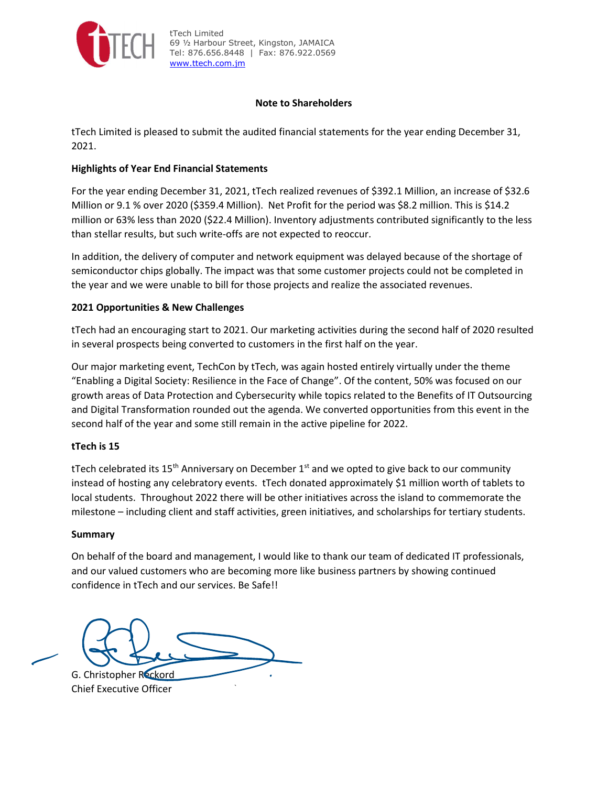

tTech Limited 69 ½ Harbour Street, Kingston, JAMAICA Tel: 876.656.8448 | Fax: 876.922.0569 www.ttech.com.jm

## Note to Shareholders

tTech Limited is pleased to submit the audited financial statements for the year ending December 31, 2021.

## Highlights of Year End Financial Statements

For the year ending December 31, 2021, tTech realized revenues of \$392.1 Million, an increase of \$32.6 Million or 9.1 % over 2020 (\$359.4 Million). Net Profit for the period was \$8.2 million. This is \$14.2 million or 63% less than 2020 (\$22.4 Million). Inventory adjustments contributed significantly to the less than stellar results, but such write-offs are not expected to reoccur.

In addition, the delivery of computer and network equipment was delayed because of the shortage of semiconductor chips globally. The impact was that some customer projects could not be completed in the year and we were unable to bill for those projects and realize the associated revenues.

## 2021 Opportunities & New Challenges

tTech had an encouraging start to 2021. Our marketing activities during the second half of 2020 resulted in several prospects being converted to customers in the first half on the year.

Our major marketing event, TechCon by tTech, was again hosted entirely virtually under the theme "Enabling a Digital Society: Resilience in the Face of Change". Of the content, 50% was focused on our growth areas of Data Protection and Cybersecurity while topics related to the Benefits of IT Outsourcing and Digital Transformation rounded out the agenda. We converted opportunities from this event in the second half of the year and some still remain in the active pipeline for 2022.

## tTech is 15

tTech celebrated its 15<sup>th</sup> Anniversary on December 1<sup>st</sup> and we opted to give back to our community instead of hosting any celebratory events. tTech donated approximately \$1 million worth of tablets to local students. Throughout 2022 there will be other initiatives across the island to commemorate the milestone – including client and staff activities, green initiatives, and scholarships for tertiary students.

## Summary

On behalf of the board and management, I would like to thank our team of dedicated IT professionals, and our valued customers who are becoming more like business partners by showing continued confidence in tTech and our services. Be Safe!!

G. Christopher Reckord

Chief Executive Officer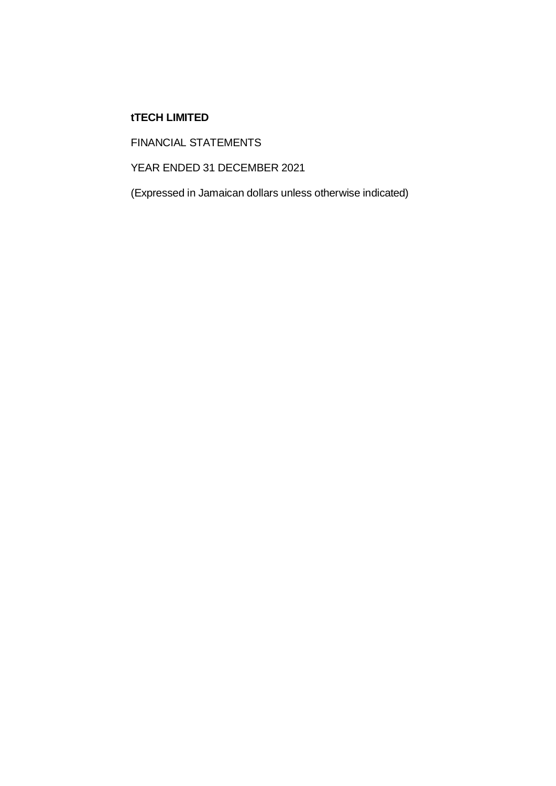FINANCIAL STATEMENTS

YEAR ENDED 31 DECEMBER 2021

(Expressed in Jamaican dollars unless otherwise indicated)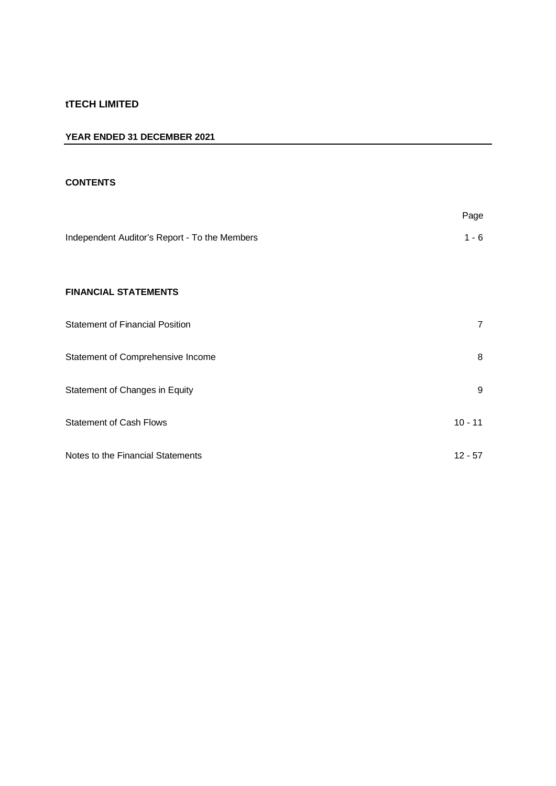## **YEAR ENDED 31 DECEMBER 2021**

## **CONTENTS**

|                                               | Page           |
|-----------------------------------------------|----------------|
| Independent Auditor's Report - To the Members | $1 - 6$        |
| <b>FINANCIAL STATEMENTS</b>                   |                |
| <b>Statement of Financial Position</b>        | $\overline{7}$ |
| Statement of Comprehensive Income             | 8              |
| Statement of Changes in Equity                | 9              |
| <b>Statement of Cash Flows</b>                | $10 - 11$      |
| Notes to the Financial Statements             | $12 - 57$      |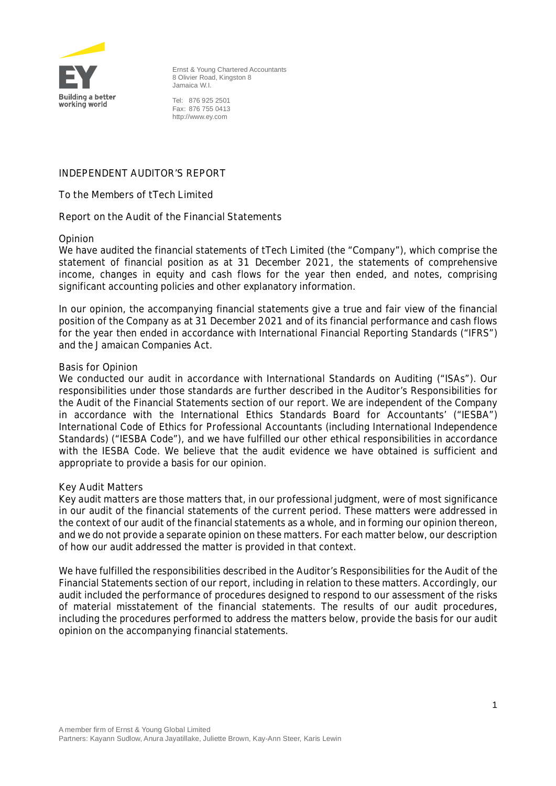

Ernst & Young Chartered Accountants 8 Olivier Road, Kingston 8 Jamaica W.I.

Tel: 876 925 2501 Fax: 876 755 0413 http://www.ey.com

## **INDEPENDENT AUDITOR'S REPORT**

**To the Members of tTech Limited**

**Report on the Audit of the Financial Statements**

## *Opinion*

We have audited the financial statements of tTech Limited (the "Company"), which comprise the statement of financial position as at 31 December 2021, the statements of comprehensive income, changes in equity and cash flows for the year then ended, and notes, comprising significant accounting policies and other explanatory information.

In our opinion, the accompanying financial statements give a true and fair view of the financial position of the Company as at 31 December 2021 and of its financial performance and cash flows for the year then ended in accordance with International Financial Reporting Standards ("IFRS") and the Jamaican Companies Act.

## *Basis for Opinion*

We conducted our audit in accordance with International Standards on Auditing ("ISAs"). Our responsibilities under those standards are further described in the Auditor's Responsibilities for the Audit of the Financial Statements section of our report. We are independent of the Company in accordance with the International Ethics Standards Board for Accountants' ("IESBA") International Code of Ethics for Professional Accountants (including International Independence Standards) ("IESBA Code"), and we have fulfilled our other ethical responsibilities in accordance with the IESBA Code. We believe that the audit evidence we have obtained is sufficient and appropriate to provide a basis for our opinion.

## *Key Audit Matters*

Key audit matters are those matters that, in our professional judgment, were of most significance in our audit of the financial statements of the current period. These matters were addressed in the context of our audit of the financial statements as a whole, and in forming our opinion thereon, and we do not provide a separate opinion on these matters. For each matter below, our description of how our audit addressed the matter is provided in that context.

We have fulfilled the responsibilities described in the *Auditor's Responsibilities for the Audit of the Financial Statements* section of our report, including in relation to these matters. Accordingly, our audit included the performance of procedures designed to respond to our assessment of the risks of material misstatement of the financial statements. The results of our audit procedures, including the procedures performed to address the matters below, provide the basis for our audit opinion on the accompanying financial statements.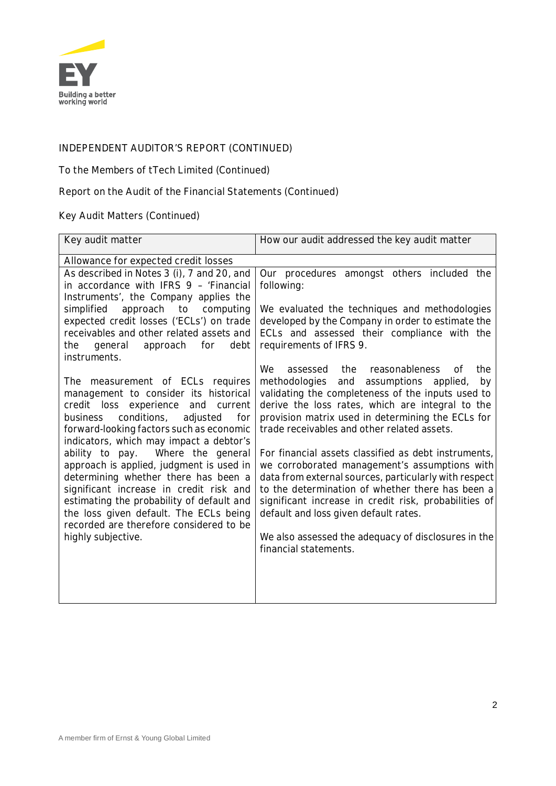

**To the Members of tTech Limited (Continued)**

# **Report on the Audit of the Financial Statements (Continued)**

# *Key Audit Matters (Continued)*

| Key audit matter                                                                                                                                                                                                                                                                                                                                                                                                                  | How our audit addressed the key audit matter                                                                                                                                                                                                                                                                                                                                                                                                                                                                                         |  |  |  |
|-----------------------------------------------------------------------------------------------------------------------------------------------------------------------------------------------------------------------------------------------------------------------------------------------------------------------------------------------------------------------------------------------------------------------------------|--------------------------------------------------------------------------------------------------------------------------------------------------------------------------------------------------------------------------------------------------------------------------------------------------------------------------------------------------------------------------------------------------------------------------------------------------------------------------------------------------------------------------------------|--|--|--|
| Allowance for expected credit losses                                                                                                                                                                                                                                                                                                                                                                                              |                                                                                                                                                                                                                                                                                                                                                                                                                                                                                                                                      |  |  |  |
| As described in Notes 3 (i), 7 and 20, and<br>in accordance with IFRS 9 - 'Financial<br>Instruments', the Company applies the                                                                                                                                                                                                                                                                                                     | Our procedures amongst others included the<br>following:                                                                                                                                                                                                                                                                                                                                                                                                                                                                             |  |  |  |
| approach to<br>simplified<br>computing<br>expected credit losses ('ECLs') on trade<br>receivables and other related assets and<br>approach<br>the<br>general<br>debt<br>for<br>instruments.                                                                                                                                                                                                                                       | We evaluated the techniques and methodologies<br>developed by the Company in order to estimate the<br>ECLs and assessed their compliance with the<br>requirements of IFRS 9.<br>We.                                                                                                                                                                                                                                                                                                                                                  |  |  |  |
| The measurement of ECLs requires<br>management to consider its historical<br>credit loss experience<br>and<br>current<br>conditions,<br>adjusted<br>for<br>business<br>forward-looking factors such as economic<br>indicators, which may impact a debtor's<br>Where the general<br>ability to pay.<br>approach is applied, judgment is used in<br>determining whether there has been a<br>significant increase in credit risk and | the<br>reasonableness<br>the<br>assessed<br>Οf<br>and assumptions applied,<br>methodologies<br>by<br>validating the completeness of the inputs used to<br>derive the loss rates, which are integral to the<br>provision matrix used in determining the ECLs for<br>trade receivables and other related assets.<br>For financial assets classified as debt instruments,<br>we corroborated management's assumptions with<br>data from external sources, particularly with respect<br>to the determination of whether there has been a |  |  |  |
| estimating the probability of default and<br>the loss given default. The ECLs being<br>recorded are therefore considered to be<br>highly subjective.                                                                                                                                                                                                                                                                              | significant increase in credit risk, probabilities of<br>default and loss given default rates.<br>We also assessed the adequacy of disclosures in the<br>financial statements.                                                                                                                                                                                                                                                                                                                                                       |  |  |  |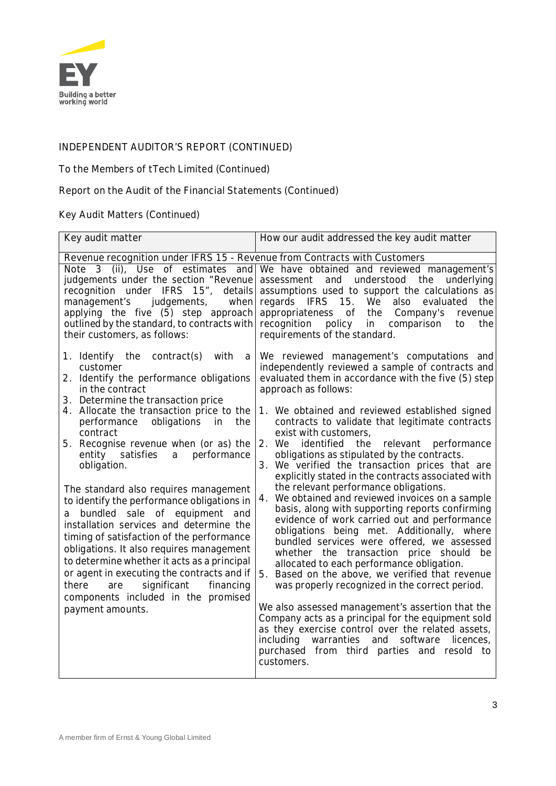

**To the Members of tTech Limited (Continued)**

# **Report on the Audit of the Financial Statements (Continued)**

# *Key Audit Matters (Continued)*

| Key audit matter                                                                                                                                                                                                                                                                                                                                                                                                                                                                                                                                                                                                                                                                                                                                                                                                                                                                                                          | How our audit addressed the key audit matter                                                                                                                                                                                                                                                                                                                                                                                                                                                                                                                                                                                                                                                                                                                                                                                                                                                                                                                                                                                                                                                                                                                                                                              |
|---------------------------------------------------------------------------------------------------------------------------------------------------------------------------------------------------------------------------------------------------------------------------------------------------------------------------------------------------------------------------------------------------------------------------------------------------------------------------------------------------------------------------------------------------------------------------------------------------------------------------------------------------------------------------------------------------------------------------------------------------------------------------------------------------------------------------------------------------------------------------------------------------------------------------|---------------------------------------------------------------------------------------------------------------------------------------------------------------------------------------------------------------------------------------------------------------------------------------------------------------------------------------------------------------------------------------------------------------------------------------------------------------------------------------------------------------------------------------------------------------------------------------------------------------------------------------------------------------------------------------------------------------------------------------------------------------------------------------------------------------------------------------------------------------------------------------------------------------------------------------------------------------------------------------------------------------------------------------------------------------------------------------------------------------------------------------------------------------------------------------------------------------------------|
|                                                                                                                                                                                                                                                                                                                                                                                                                                                                                                                                                                                                                                                                                                                                                                                                                                                                                                                           |                                                                                                                                                                                                                                                                                                                                                                                                                                                                                                                                                                                                                                                                                                                                                                                                                                                                                                                                                                                                                                                                                                                                                                                                                           |
| Revenue recognition under IFRS 15 - Revenue from Contracts with Customers<br>judgements under the section "Revenue assessment<br>recognition under IFRS 15",<br>details<br>when<br>management's<br>judgements,<br>applying the five (5) step approach<br>outlined by the standard, to contracts with<br>their customers, as follows:<br>contract(s)<br>1. Identify the<br>with<br>a<br>customer<br>2. Identify the performance obligations<br>in the contract<br>3. Determine the transaction price<br>4. Allocate the transaction price to the<br>obligations<br>performance<br>in<br>the<br>contract<br>5. Recognise revenue when (or as) the<br>satisfies<br>performance<br>entity<br>a<br>obligation.<br>The standard also requires management<br>to identify the performance obligations in<br>bundled sale of equipment and<br>installation services and determine the<br>timing of satisfaction of the performance | Note 3 (ii), Use of estimates and We have obtained and reviewed management's<br>underlying<br>and<br>understood<br>the<br>assumptions used to support the calculations as<br>15.<br>We<br><b>IFRS</b><br>also evaluated<br>the<br>regards<br>of<br>the<br>appropriateness<br>Company's<br>revenue<br>recognition<br>policy<br>comparison<br>in<br>the<br>to<br>requirements of the standard.<br>We reviewed management's computations and<br>independently reviewed a sample of contracts and<br>evaluated them in accordance with the five (5) step<br>approach as follows:<br>1. We obtained and reviewed established signed<br>contracts to validate that legitimate contracts<br>exist with customers,<br>identified<br>the<br>relevant<br>2. We<br>performance<br>obligations as stipulated by the contracts.<br>3. We verified the transaction prices that are<br>explicitly stated in the contracts associated with<br>the relevant performance obligations.<br>We obtained and reviewed invoices on a sample<br>4.<br>basis, along with supporting reports confirming<br>evidence of work carried out and performance<br>obligations being met. Additionally, where<br>bundled services were offered, we assessed |
| obligations. It also requires management<br>to determine whether it acts as a principal<br>or agent in executing the contracts and if<br>significant<br>there<br>financing<br>are                                                                                                                                                                                                                                                                                                                                                                                                                                                                                                                                                                                                                                                                                                                                         | whether the transaction price should be<br>allocated to each performance obligation.<br>5. Based on the above, we verified that revenue<br>was properly recognized in the correct period.                                                                                                                                                                                                                                                                                                                                                                                                                                                                                                                                                                                                                                                                                                                                                                                                                                                                                                                                                                                                                                 |
| components included in the promised<br>payment amounts.                                                                                                                                                                                                                                                                                                                                                                                                                                                                                                                                                                                                                                                                                                                                                                                                                                                                   | We also assessed management's assertion that the<br>Company acts as a principal for the equipment sold<br>as they exercise control over the related assets,<br>including warranties<br>software<br>licences,<br>and<br>purchased from third parties and resold to<br>customers.                                                                                                                                                                                                                                                                                                                                                                                                                                                                                                                                                                                                                                                                                                                                                                                                                                                                                                                                           |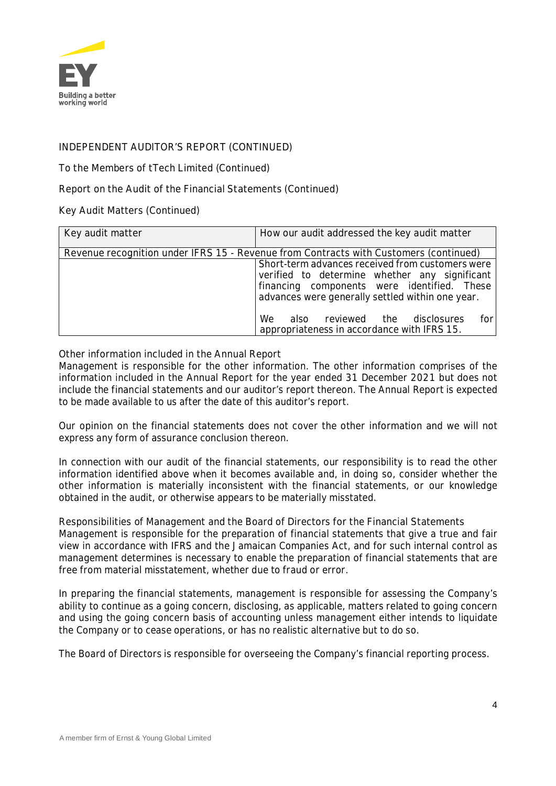

**To the Members of tTech Limited (Continued)**

## **Report on the Audit of the Financial Statements (Continued)**

*Key Audit Matters (Continued)*

| Key audit matter | How our audit addressed the key audit matter                                                                                                                                                         |  |  |  |
|------------------|------------------------------------------------------------------------------------------------------------------------------------------------------------------------------------------------------|--|--|--|
|                  | Revenue recognition under IFRS 15 - Revenue from Contracts with Customers (continued)                                                                                                                |  |  |  |
|                  | Short-term advances received from customers were<br>verified to determine whether any significant<br>financing components were identified. These<br>advances were generally settled within one year. |  |  |  |
|                  | We.<br>also reviewed the<br>disclosures<br>for<br>appropriateness in accordance with IFRS 15.                                                                                                        |  |  |  |

## *Other information included in the Annual Report*

Management is responsible for the other information. The other information comprises of the information included in the Annual Report for the year ended 31 December 2021 but does not include the financial statements and our auditor's report thereon. The Annual Report is expected to be made available to us after the date of this auditor's report.

Our opinion on the financial statements does not cover the other information and we will not express any form of assurance conclusion thereon.

In connection with our audit of the financial statements, our responsibility is to read the other information identified above when it becomes available and, in doing so, consider whether the other information is materially inconsistent with the financial statements, or our knowledge obtained in the audit, or otherwise appears to be materially misstated.

## *Responsibilities of Management and the Board of Directors for the Financial Statements*

Management is responsible for the preparation of financial statements that give a true and fair view in accordance with IFRS and the Jamaican Companies Act, and for such internal control as management determines is necessary to enable the preparation of financial statements that are free from material misstatement, whether due to fraud or error.

In preparing the financial statements, management is responsible for assessing the Company's ability to continue as a going concern, disclosing, as applicable, matters related to going concern and using the going concern basis of accounting unless management either intends to liquidate the Company or to cease operations, or has no realistic alternative but to do so.

The Board of Directors is responsible for overseeing the Company's financial reporting process.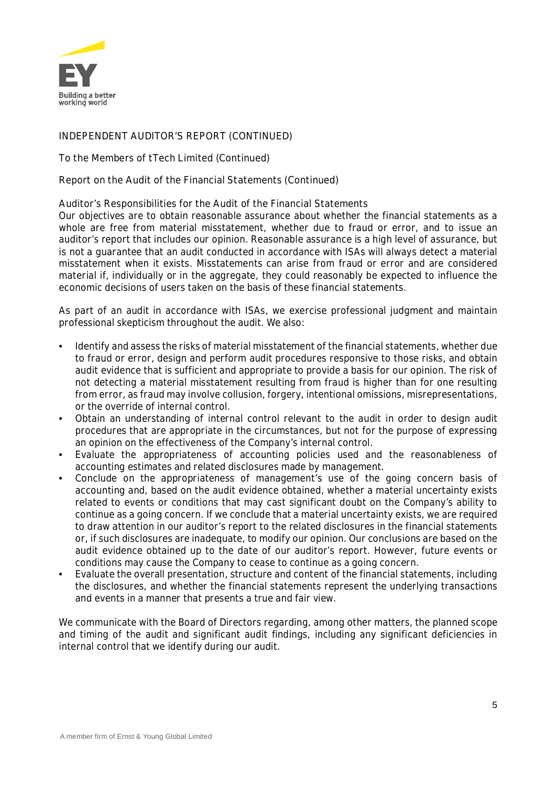

## **To the Members of tTech Limited (Continued)**

## **Report on the Audit of the Financial Statements (Continued)**

## *Auditor's Responsibilities for the Audit of the Financial Statements*

Our objectives are to obtain reasonable assurance about whether the financial statements as a whole are free from material misstatement, whether due to fraud or error, and to issue an auditor's report that includes our opinion. Reasonable assurance is a high level of assurance, but is not a guarantee that an audit conducted in accordance with ISAs will always detect a material misstatement when it exists. Misstatements can arise from fraud or error and are considered material if, individually or in the aggregate, they could reasonably be expected to influence the economic decisions of users taken on the basis of these financial statements.

As part of an audit in accordance with ISAs, we exercise professional judgment and maintain professional skepticism throughout the audit. We also:

- Identify and assess the risks of material misstatement of the financial statements, whether due to fraud or error, design and perform audit procedures responsive to those risks, and obtain audit evidence that is sufficient and appropriate to provide a basis for our opinion. The risk of not detecting a material misstatement resulting from fraud is higher than for one resulting from error, as fraud may involve collusion, forgery, intentional omissions, misrepresentations, or the override of internal control.
- Obtain an understanding of internal control relevant to the audit in order to design audit procedures that are appropriate in the circumstances, but not for the purpose of expressing an opinion on the effectiveness of the Company's internal control.
- Evaluate the appropriateness of accounting policies used and the reasonableness of accounting estimates and related disclosures made by management.
- Conclude on the appropriateness of management's use of the going concern basis of accounting and, based on the audit evidence obtained, whether a material uncertainty exists related to events or conditions that may cast significant doubt on the Company's ability to continue as a going concern. If we conclude that a material uncertainty exists, we are required to draw attention in our auditor's report to the related disclosures in the financial statements or, if such disclosures are inadequate, to modify our opinion. Our conclusions are based on the audit evidence obtained up to the date of our auditor's report. However, future events or conditions may cause the Company to cease to continue as a going concern.
- Evaluate the overall presentation, structure and content of the financial statements, including the disclosures, and whether the financial statements represent the underlying transactions and events in a manner that presents a true and fair view.

We communicate with the Board of Directors regarding, among other matters, the planned scope and timing of the audit and significant audit findings, including any significant deficiencies in internal control that we identify during our audit.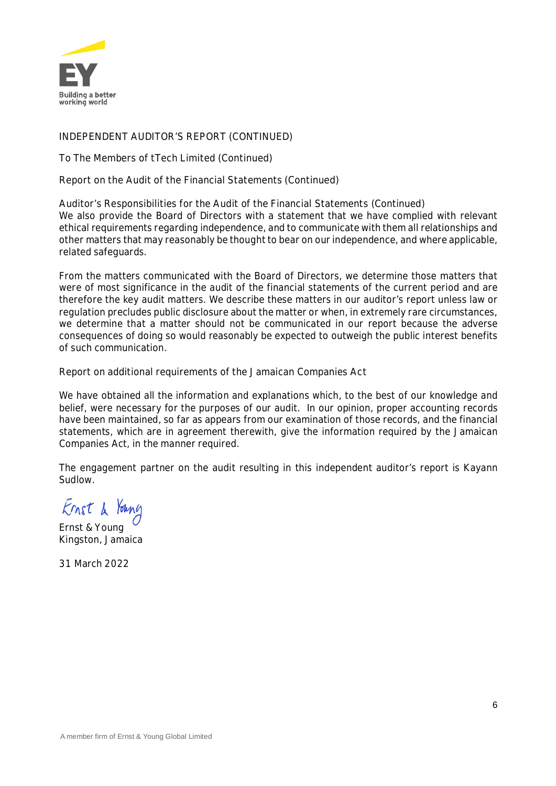

## **To The Members of tTech Limited (Continued)**

## **Report on the Audit of the Financial Statements (Continued)**

## *Auditor's Responsibilities for the Audit of the Financial Statements (Continued)*

We also provide the Board of Directors with a statement that we have complied with relevant ethical requirements regarding independence, and to communicate with them all relationships and other matters that may reasonably be thought to bear on our independence, and where applicable, related safeguards.

From the matters communicated with the Board of Directors, we determine those matters that were of most significance in the audit of the financial statements of the current period and are therefore the key audit matters. We describe these matters in our auditor's report unless law or regulation precludes public disclosure about the matter or when, in extremely rare circumstances, we determine that a matter should not be communicated in our report because the adverse consequences of doing so would reasonably be expected to outweigh the public interest benefits of such communication.

## *Report on additional requirements of the Jamaican Companies Act*

We have obtained all the information and explanations which, to the best of our knowledge and belief, were necessary for the purposes of our audit. In our opinion, proper accounting records have been maintained, so far as appears from our examination of those records, and the financial statements, which are in agreement therewith, give the information required by the Jamaican Companies Act, in the manner required.

The engagement partner on the audit resulting in this independent auditor's report is Kayann Sudlow.

Krast & Young

Ernst & Young Kingston, Jamaica

31 March 2022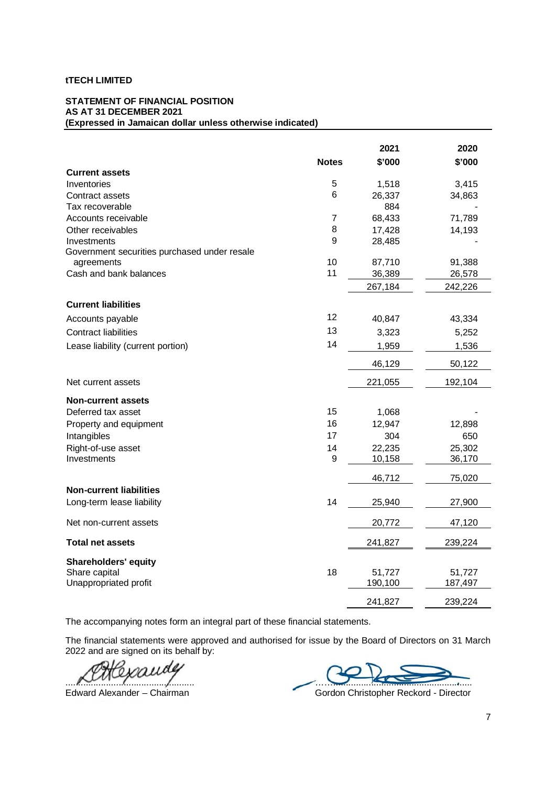## **STATEMENT OF FINANCIAL POSITION AS AT 31 DECEMBER 2021 (Expressed in Jamaican dollar unless otherwise indicated)**

|                                                             |              | 2021          | 2020    |
|-------------------------------------------------------------|--------------|---------------|---------|
|                                                             | <b>Notes</b> | \$'000        | \$'000  |
| <b>Current assets</b>                                       |              |               |         |
| Inventories                                                 | 5            | 1,518         | 3,415   |
| Contract assets                                             | 6            | 26,337        | 34,863  |
| Tax recoverable                                             | 7            | 884<br>68,433 |         |
| Accounts receivable                                         | 8            |               | 71,789  |
| Other receivables                                           | 9            | 17,428        | 14,193  |
| Investments<br>Government securities purchased under resale |              | 28,485        |         |
| agreements                                                  | 10           | 87,710        | 91,388  |
| Cash and bank balances                                      | 11           | 36,389        | 26,578  |
|                                                             |              | 267,184       | 242,226 |
| <b>Current liabilities</b>                                  |              |               |         |
| Accounts payable                                            | 12           | 40,847        | 43,334  |
| <b>Contract liabilities</b>                                 | 13           | 3,323         | 5,252   |
|                                                             | 14           |               |         |
| Lease liability (current portion)                           |              | 1,959         | 1,536   |
|                                                             |              | 46,129        | 50,122  |
| Net current assets                                          |              | 221,055       | 192,104 |
| <b>Non-current assets</b>                                   |              |               |         |
| Deferred tax asset                                          | 15           | 1,068         |         |
| Property and equipment                                      | 16           | 12,947        | 12,898  |
| Intangibles                                                 | 17           | 304           | 650     |
| Right-of-use asset                                          | 14           | 22,235        | 25,302  |
| Investments                                                 | 9            | 10,158        | 36,170  |
|                                                             |              | 46,712        | 75,020  |
| <b>Non-current liabilities</b>                              |              |               |         |
| Long-term lease liability                                   | 14           | 25,940        | 27,900  |
| Net non-current assets                                      |              | 20,772        | 47,120  |
| <b>Total net assets</b>                                     |              | 241,827       | 239,224 |
| <b>Shareholders' equity</b>                                 |              |               |         |
| Share capital                                               | 18           | 51,727        | 51,727  |
| Unappropriated profit                                       |              | 190,100       | 187,497 |
|                                                             |              | 241,827       | 239,224 |

The accompanying notes form an integral part of these financial statements.

The financial statements were approved and authorised for issue by the Board of Directors on 31 March 2022 and are signed on its behalf by:

................................................... ……....................................................... Edward Alexander – Chairman Gordon Christopher Reckord - Director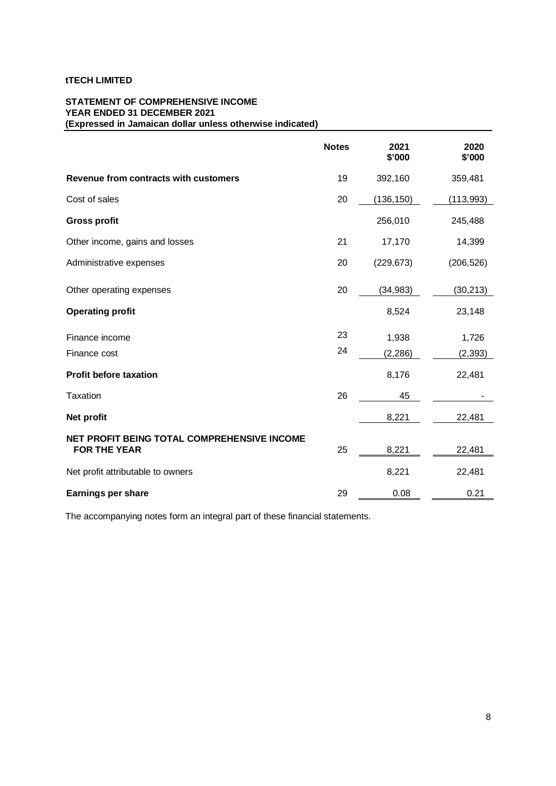## **STATEMENT OF COMPREHENSIVE INCOME YEAR ENDED 31 DECEMBER 2021 (Expressed in Jamaican dollar unless otherwise indicated)**

|                                                                    | <b>Notes</b> | 2021<br>\$'000 | 2020<br>\$'000 |
|--------------------------------------------------------------------|--------------|----------------|----------------|
| Revenue from contracts with customers                              | 19           | 392,160        | 359,481        |
| Cost of sales                                                      | 20           | (136, 150)     | (113,993)      |
| <b>Gross profit</b>                                                |              | 256,010        | 245,488        |
| Other income, gains and losses                                     | 21           | 17,170         | 14,399         |
| Administrative expenses                                            | 20           | (229, 673)     | (206, 526)     |
| Other operating expenses                                           | 20           | (34, 983)      | (30, 213)      |
| <b>Operating profit</b>                                            |              | 8,524          | 23,148         |
| Finance income                                                     | 23           | 1,938          | 1,726          |
| Finance cost                                                       | 24           | (2, 286)       | (2, 393)       |
| <b>Profit before taxation</b>                                      |              | 8,176          | 22,481         |
| <b>Taxation</b>                                                    | 26           | 45             |                |
| Net profit                                                         |              | 8,221          | 22,481         |
| NET PROFIT BEING TOTAL COMPREHENSIVE INCOME<br><b>FOR THE YEAR</b> | 25           | 8,221          | 22,481         |
| Net profit attributable to owners                                  |              | 8,221          | 22,481         |
| <b>Earnings per share</b>                                          | 29           | 0.08           | 0.21           |

The accompanying notes form an integral part of these financial statements.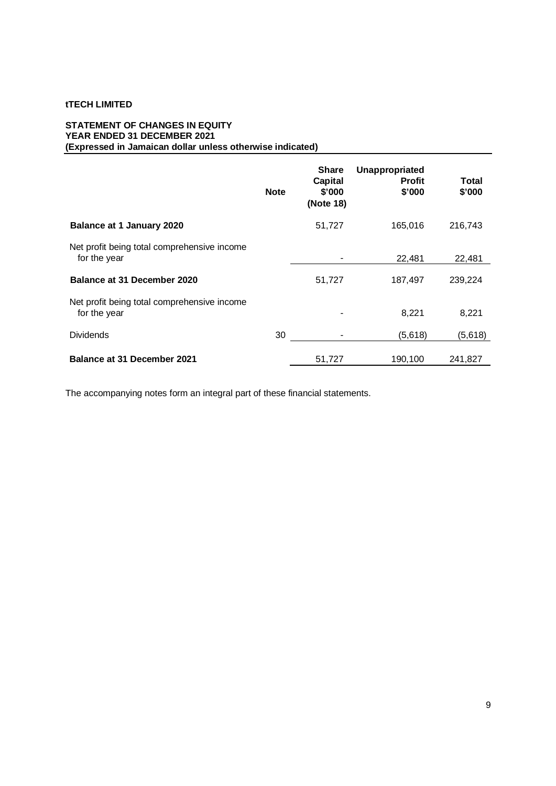## **STATEMENT OF CHANGES IN EQUITY YEAR ENDED 31 DECEMBER 2021 (Expressed in Jamaican dollar unless otherwise indicated)**

|                                                             | <b>Note</b> | <b>Share</b><br><b>Capital</b><br>\$'000<br>(Note 18) | Unappropriated<br><b>Profit</b><br>\$'000 | Total<br>\$'000 |
|-------------------------------------------------------------|-------------|-------------------------------------------------------|-------------------------------------------|-----------------|
| <b>Balance at 1 January 2020</b>                            |             | 51,727                                                | 165,016                                   | 216,743         |
| Net profit being total comprehensive income<br>for the year |             |                                                       | 22,481                                    | 22,481          |
| Balance at 31 December 2020                                 |             | 51,727                                                | 187,497                                   | 239,224         |
| Net profit being total comprehensive income<br>for the year |             |                                                       | 8,221                                     | 8,221           |
| <b>Dividends</b>                                            | 30          |                                                       | (5,618)                                   | (5,618)         |
| <b>Balance at 31 December 2021</b>                          |             | 51,727                                                | 190,100                                   | 241,827         |

The accompanying notes form an integral part of these financial statements.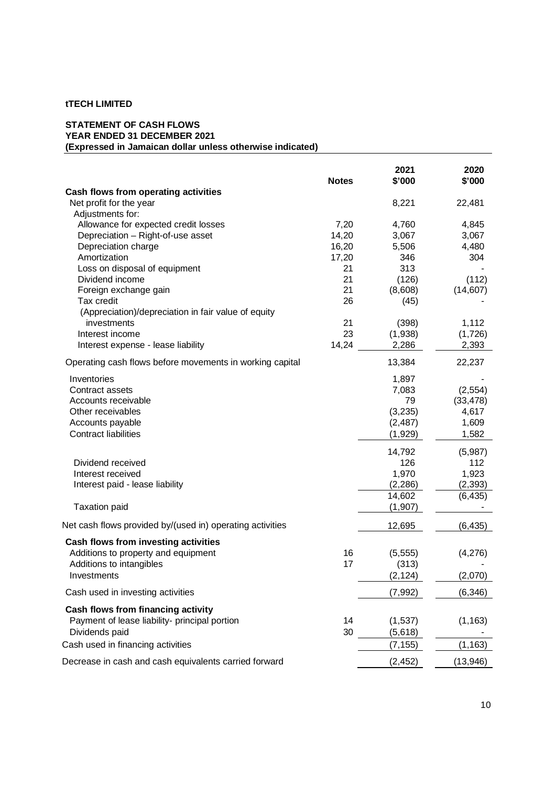#### **STATEMENT OF CASH FLOWS YEAR ENDED 31 DECEMBER 2021 (Expressed in Jamaican dollar unless otherwise indicated)**

**2021 2020 Notes \$'000 \$'000 Cash flows from operating activities** Net profit for the year 8,221 22,481 Adjustments for: Allowance for expected credit losses  $7,20$  4,760  $4,845$ Depreciation – Right-of-use asset 14,20 3,067 3,067 3,067 Depreciation charge 16,20 5,506 4,480 Amortization 304 304 Loss on disposal of equipment 21 313 Dividend income 21 (126) (112) Foreign exchange gain 21 (8,608) (14,607) Tax credit 26 (45) - (Appreciation)/depreciation in fair value of equity investments 21 (398) 1,112 Interest income 23 (1,938) (1,726) Interest expense - lease liability 14,24 2,286 2,393 Operating cash flows before movements in working capital 13,384 22,237 Inventories 1,897 - Contract assets 2,554) 2,554 Accounts receivable 79 (33,478) Other receivables (3,235) 4,617 Accounts payable (2,487) 1,609 Contract liabilities (1,929) 1,582 14,792 (5,987) Dividend received 126 112 Interest received 1,970 1,923 Interest paid - lease liability (2,286) (2,393) 14,602 (6,435) Taxation paid (1,907) Net cash flows provided by/(used in) operating activities 12,695 (6,435) **Cash flows from investing activities** Additions to property and equipment 16 (5,555) (4,276) Additions to intangibles 17 (313) Investments (2,124) (2,070) Cash used in investing activities (7,992) (6,346) **Cash flows from financing activity** Payment of lease liability- principal portion 14 (1,537) (1,163) Dividends paid 30 (5,618) Cash used in financing activities (7,155) (1,163) Decrease in cash and cash equivalents carried forward (2,452) (13,946)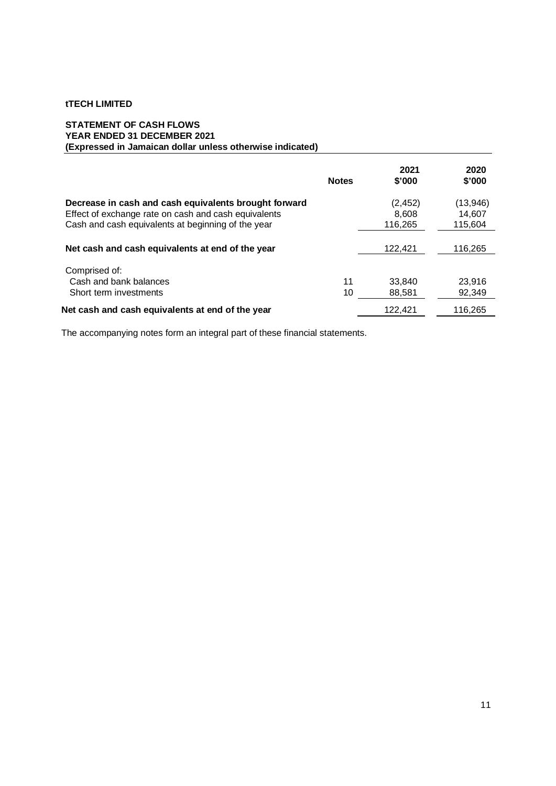## **STATEMENT OF CASH FLOWS YEAR ENDED 31 DECEMBER 2021 (Expressed in Jamaican dollar unless otherwise indicated)**

| <b>Notes</b><br>Decrease in cash and cash equivalents brought forward<br>Effect of exchange rate on cash and cash equivalents<br>Cash and cash equivalents at beginning of the year<br>Net cash and cash equivalents at end of the year<br>Comprised of:<br>Cash and bank balances<br>11<br>10<br>Short term investments<br>Net cash and cash equivalents at end of the year |                              |                                |
|------------------------------------------------------------------------------------------------------------------------------------------------------------------------------------------------------------------------------------------------------------------------------------------------------------------------------------------------------------------------------|------------------------------|--------------------------------|
|                                                                                                                                                                                                                                                                                                                                                                              | 2021<br>\$'000               | 2020<br>\$'000                 |
|                                                                                                                                                                                                                                                                                                                                                                              | (2, 452)<br>8.608<br>116,265 | (13, 946)<br>14.607<br>115,604 |
|                                                                                                                                                                                                                                                                                                                                                                              | 122.421                      | 116,265                        |
|                                                                                                                                                                                                                                                                                                                                                                              | 33.840<br>88.581             | 23.916<br>92.349               |
|                                                                                                                                                                                                                                                                                                                                                                              | 122,421                      | 116,265                        |

The accompanying notes form an integral part of these financial statements.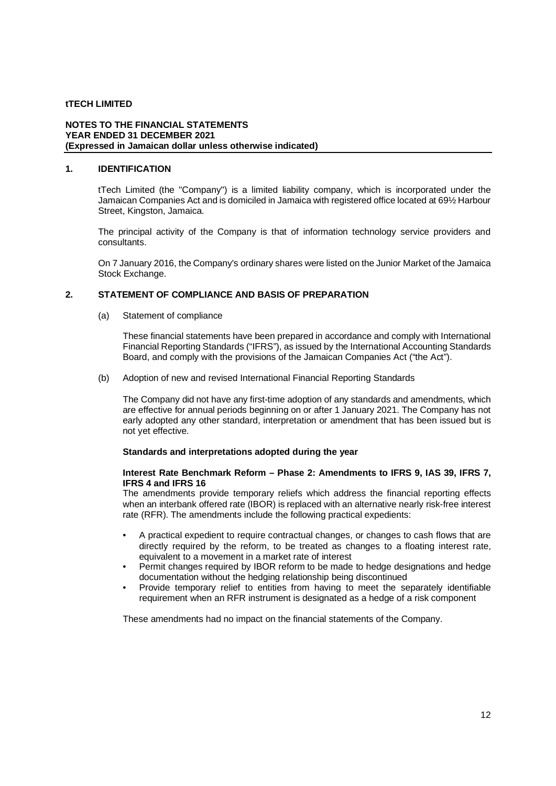#### **NOTES TO THE FINANCIAL STATEMENTS YEAR ENDED 31 DECEMBER 2021 (Expressed in Jamaican dollar unless otherwise indicated)**

### **1. IDENTIFICATION**

tTech Limited (the "Company") is a limited liability company, which is incorporated under the Jamaican Companies Act and is domiciled in Jamaica with registered office located at 69½ Harbour Street, Kingston, Jamaica.

The principal activity of the Company is that of information technology service providers and consultants.

On 7 January 2016, the Company's ordinary shares were listed on the Junior Market of the Jamaica Stock Exchange.

## **2. STATEMENT OF COMPLIANCE AND BASIS OF PREPARATION**

(a) Statement of compliance

These financial statements have been prepared in accordance and comply with International Financial Reporting Standards ("IFRS"), as issued by the International Accounting Standards Board, and comply with the provisions of the Jamaican Companies Act ("the Act").

(b) Adoption of new and revised International Financial Reporting Standards

The Company did not have any first-time adoption of any standards and amendments, which are effective for annual periods beginning on or after 1 January 2021. The Company has not early adopted any other standard, interpretation or amendment that has been issued but is not yet effective.

### **Standards and interpretations adopted during the year**

#### **Interest Rate Benchmark Reform – Phase 2: Amendments to IFRS 9, IAS 39, IFRS 7, IFRS 4 and IFRS 16**

The amendments provide temporary reliefs which address the financial reporting effects when an interbank offered rate (IBOR) is replaced with an alternative nearly risk-free interest rate (RFR). The amendments include the following practical expedients:

- A practical expedient to require contractual changes, or changes to cash flows that are directly required by the reform, to be treated as changes to a floating interest rate, equivalent to a movement in a market rate of interest
- Permit changes required by IBOR reform to be made to hedge designations and hedge documentation without the hedging relationship being discontinued
- Provide temporary relief to entities from having to meet the separately identifiable requirement when an RFR instrument is designated as a hedge of a risk component

These amendments had no impact on the financial statements of the Company.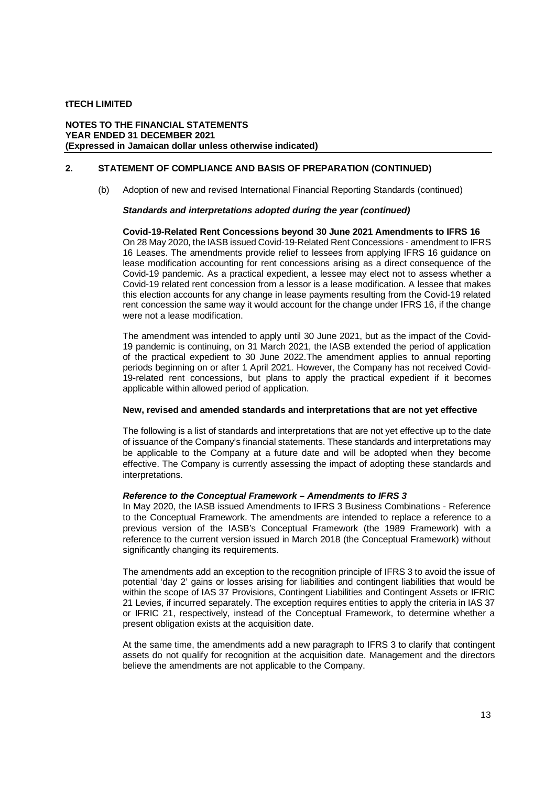### **NOTES TO THE FINANCIAL STATEMENTS YEAR ENDED 31 DECEMBER 2021 (Expressed in Jamaican dollar unless otherwise indicated)**

## **2. STATEMENT OF COMPLIANCE AND BASIS OF PREPARATION (CONTINUED)**

(b) Adoption of new and revised International Financial Reporting Standards (continued)

### *Standards and interpretations adopted during the year (continued)*

#### **Covid-19-Related Rent Concessions beyond 30 June 2021 Amendments to IFRS 16**

On 28 May 2020, the IASB issued Covid-19-Related Rent Concessions - amendment to IFRS 16 Leases. The amendments provide relief to lessees from applying IFRS 16 guidance on lease modification accounting for rent concessions arising as a direct consequence of the Covid-19 pandemic. As a practical expedient, a lessee may elect not to assess whether a Covid-19 related rent concession from a lessor is a lease modification. A lessee that makes this election accounts for any change in lease payments resulting from the Covid-19 related rent concession the same way it would account for the change under IFRS 16, if the change were not a lease modification.

The amendment was intended to apply until 30 June 2021, but as the impact of the Covid-19 pandemic is continuing, on 31 March 2021, the IASB extended the period of application of the practical expedient to 30 June 2022.The amendment applies to annual reporting periods beginning on or after 1 April 2021. However, the Company has not received Covid-19-related rent concessions, but plans to apply the practical expedient if it becomes applicable within allowed period of application.

#### **New, revised and amended standards and interpretations that are not yet effective**

The following is a list of standards and interpretations that are not yet effective up to the date of issuance of the Company's financial statements. These standards and interpretations may be applicable to the Company at a future date and will be adopted when they become effective. The Company is currently assessing the impact of adopting these standards and interpretations.

#### *Reference to the Conceptual Framework – Amendments to IFRS 3*

In May 2020, the IASB issued Amendments to IFRS 3 Business Combinations - Reference to the Conceptual Framework. The amendments are intended to replace a reference to a previous version of the IASB's Conceptual Framework (the 1989 Framework) with a reference to the current version issued in March 2018 (the Conceptual Framework) without significantly changing its requirements.

The amendments add an exception to the recognition principle of IFRS 3 to avoid the issue of potential 'day 2' gains or losses arising for liabilities and contingent liabilities that would be within the scope of IAS 37 Provisions, Contingent Liabilities and Contingent Assets or IFRIC 21 Levies, if incurred separately. The exception requires entities to apply the criteria in IAS 37 or IFRIC 21, respectively, instead of the Conceptual Framework, to determine whether a present obligation exists at the acquisition date.

At the same time, the amendments add a new paragraph to IFRS 3 to clarify that contingent assets do not qualify for recognition at the acquisition date. Management and the directors believe the amendments are not applicable to the Company.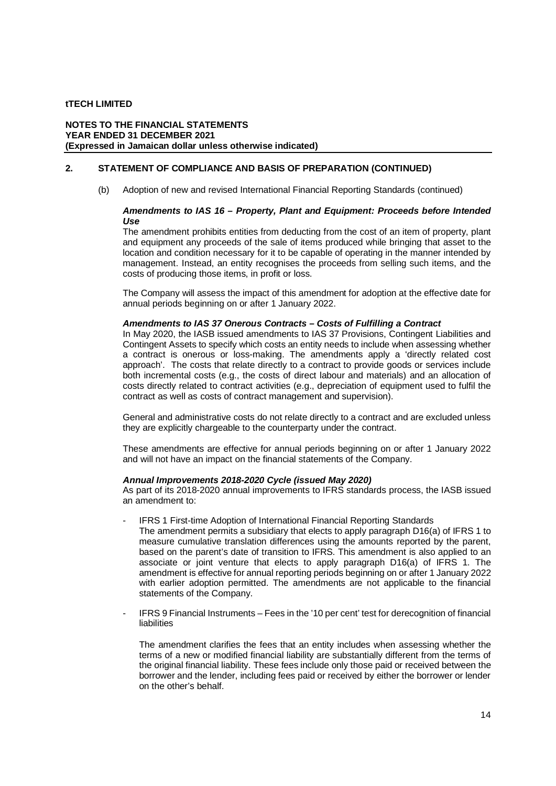### **NOTES TO THE FINANCIAL STATEMENTS YEAR ENDED 31 DECEMBER 2021 (Expressed in Jamaican dollar unless otherwise indicated)**

## **2. STATEMENT OF COMPLIANCE AND BASIS OF PREPARATION (CONTINUED)**

(b) Adoption of new and revised International Financial Reporting Standards (continued)

### *Amendments to IAS 16 – Property, Plant and Equipment: Proceeds before Intended Use*

The amendment prohibits entities from deducting from the cost of an item of property, plant and equipment any proceeds of the sale of items produced while bringing that asset to the location and condition necessary for it to be capable of operating in the manner intended by management. Instead, an entity recognises the proceeds from selling such items, and the costs of producing those items, in profit or loss.

The Company will assess the impact of this amendment for adoption at the effective date for annual periods beginning on or after 1 January 2022.

#### *Amendments to IAS 37 Onerous Contracts – Costs of Fulfilling a Contract*

In May 2020, the IASB issued amendments to IAS 37 Provisions, Contingent Liabilities and Contingent Assets to specify which costs an entity needs to include when assessing whether a contract is onerous or loss-making. The amendments apply a 'directly related cost approach'. The costs that relate directly to a contract to provide goods or services include both incremental costs (e.g., the costs of direct labour and materials) and an allocation of costs directly related to contract activities (e.g., depreciation of equipment used to fulfil the contract as well as costs of contract management and supervision).

General and administrative costs do not relate directly to a contract and are excluded unless they are explicitly chargeable to the counterparty under the contract.

These amendments are effective for annual periods beginning on or after 1 January 2022 and will not have an impact on the financial statements of the Company.

#### *Annual Improvements 2018-2020 Cycle (issued May 2020)*

As part of its 2018-2020 annual improvements to IFRS standards process, the IASB issued an amendment to:

- IFRS 1 First-time Adoption of International Financial Reporting Standards

The amendment permits a subsidiary that elects to apply paragraph D16(a) of IFRS 1 to measure cumulative translation differences using the amounts reported by the parent, based on the parent's date of transition to IFRS. This amendment is also applied to an associate or joint venture that elects to apply paragraph D16(a) of IFRS 1. The amendment is effective for annual reporting periods beginning on or after 1 January 2022 with earlier adoption permitted. The amendments are not applicable to the financial statements of the Company.

IFRS 9 Financial Instruments – Fees in the '10 per cent' test for derecognition of financial liabilities

The amendment clarifies the fees that an entity includes when assessing whether the terms of a new or modified financial liability are substantially different from the terms of the original financial liability. These fees include only those paid or received between the borrower and the lender, including fees paid or received by either the borrower or lender on the other's behalf.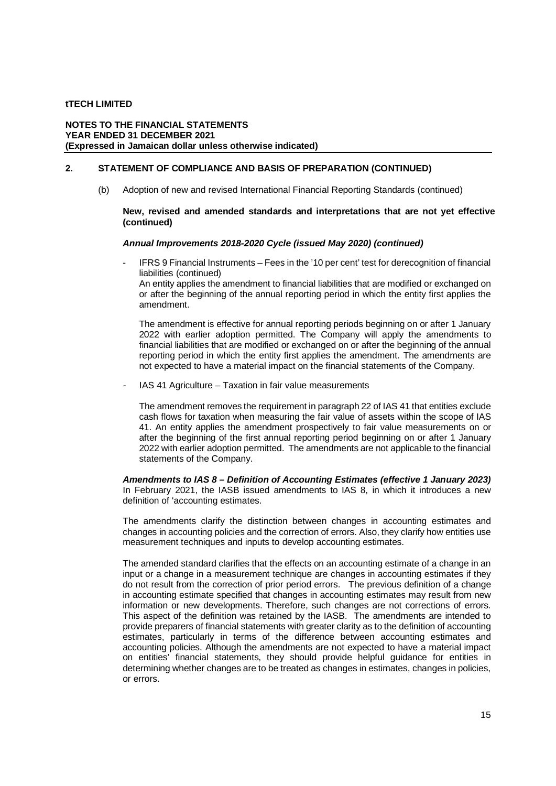#### **NOTES TO THE FINANCIAL STATEMENTS YEAR ENDED 31 DECEMBER 2021 (Expressed in Jamaican dollar unless otherwise indicated)**

### **2. STATEMENT OF COMPLIANCE AND BASIS OF PREPARATION (CONTINUED)**

(b) Adoption of new and revised International Financial Reporting Standards (continued)

### **New, revised and amended standards and interpretations that are not yet effective (continued)**

### *Annual Improvements 2018-2020 Cycle (issued May 2020) (continued)*

- IFRS 9 Financial Instruments – Fees in the '10 per cent' test for derecognition of financial liabilities (continued)

An entity applies the amendment to financial liabilities that are modified or exchanged on or after the beginning of the annual reporting period in which the entity first applies the amendment.

The amendment is effective for annual reporting periods beginning on or after 1 January 2022 with earlier adoption permitted. The Company will apply the amendments to financial liabilities that are modified or exchanged on or after the beginning of the annual reporting period in which the entity first applies the amendment. The amendments are not expected to have a material impact on the financial statements of the Company.

*-* IAS 41 Agriculture – Taxation in fair value measurements

The amendment removes the requirement in paragraph 22 of IAS 41 that entities exclude cash flows for taxation when measuring the fair value of assets within the scope of IAS 41. An entity applies the amendment prospectively to fair value measurements on or after the beginning of the first annual reporting period beginning on or after 1 January 2022 with earlier adoption permitted. The amendments are not applicable to the financial statements of the Company.

*Amendments to IAS 8 – Definition of Accounting Estimates (effective 1 January 2023)* In February 2021, the IASB issued amendments to IAS 8, in which it introduces a new definition of 'accounting estimates.

The amendments clarify the distinction between changes in accounting estimates and changes in accounting policies and the correction of errors. Also, they clarify how entities use measurement techniques and inputs to develop accounting estimates.

The amended standard clarifies that the effects on an accounting estimate of a change in an input or a change in a measurement technique are changes in accounting estimates if they do not result from the correction of prior period errors. The previous definition of a change in accounting estimate specified that changes in accounting estimates may result from new information or new developments. Therefore, such changes are not corrections of errors. This aspect of the definition was retained by the IASB. The amendments are intended to provide preparers of financial statements with greater clarity as to the definition of accounting estimates, particularly in terms of the difference between accounting estimates and accounting policies. Although the amendments are not expected to have a material impact on entities' financial statements, they should provide helpful guidance for entities in determining whether changes are to be treated as changes in estimates, changes in policies, or errors.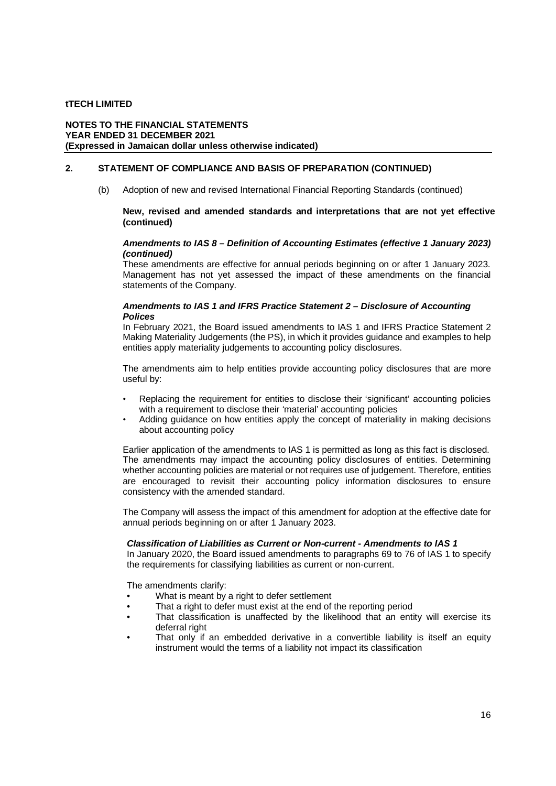#### **NOTES TO THE FINANCIAL STATEMENTS YEAR ENDED 31 DECEMBER 2021 (Expressed in Jamaican dollar unless otherwise indicated)**

## **2. STATEMENT OF COMPLIANCE AND BASIS OF PREPARATION (CONTINUED)**

(b) Adoption of new and revised International Financial Reporting Standards (continued)

## **New, revised and amended standards and interpretations that are not yet effective (continued)**

#### *Amendments to IAS 8 – Definition of Accounting Estimates (effective 1 January 2023) (continued)*

These amendments are effective for annual periods beginning on or after 1 January 2023. Management has not yet assessed the impact of these amendments on the financial statements of the Company.

#### *Amendments to IAS 1 and IFRS Practice Statement 2 – Disclosure of Accounting Polices*

In February 2021, the Board issued amendments to IAS 1 and IFRS Practice Statement 2 Making Materiality Judgements (the PS), in which it provides guidance and examples to help entities apply materiality judgements to accounting policy disclosures.

The amendments aim to help entities provide accounting policy disclosures that are more useful by:

- Replacing the requirement for entities to disclose their 'significant' accounting policies with a requirement to disclose their 'material' accounting policies
- Adding guidance on how entities apply the concept of materiality in making decisions about accounting policy

Earlier application of the amendments to IAS 1 is permitted as long as this fact is disclosed. The amendments may impact the accounting policy disclosures of entities. Determining whether accounting policies are material or not requires use of judgement. Therefore, entities are encouraged to revisit their accounting policy information disclosures to ensure consistency with the amended standard.

The Company will assess the impact of this amendment for adoption at the effective date for annual periods beginning on or after 1 January 2023.

#### *Classification of Liabilities as Current or Non-current - Amendments to IAS 1*

In January 2020, the Board issued amendments to paragraphs 69 to 76 of IAS 1 to specify the requirements for classifying liabilities as current or non-current.

The amendments clarify:

- What is meant by a right to defer settlement
- That a right to defer must exist at the end of the reporting period
- That classification is unaffected by the likelihood that an entity will exercise its deferral right
- That only if an embedded derivative in a convertible liability is itself an equity instrument would the terms of a liability not impact its classification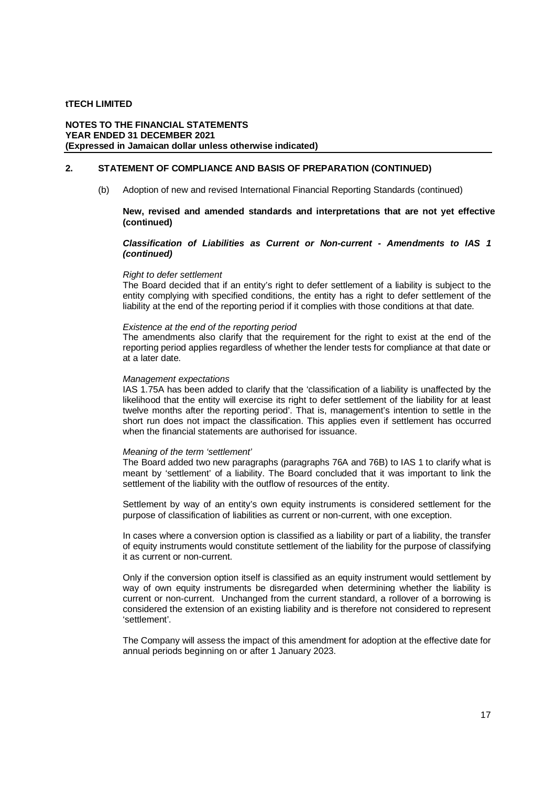#### **NOTES TO THE FINANCIAL STATEMENTS YEAR ENDED 31 DECEMBER 2021 (Expressed in Jamaican dollar unless otherwise indicated)**

## **2. STATEMENT OF COMPLIANCE AND BASIS OF PREPARATION (CONTINUED)**

(b) Adoption of new and revised International Financial Reporting Standards (continued)

### **New, revised and amended standards and interpretations that are not yet effective (continued)**

## *Classification of Liabilities as Current or Non-current - Amendments to IAS 1 (continued)*

#### *Right to defer settlement*

The Board decided that if an entity's right to defer settlement of a liability is subject to the entity complying with specified conditions, the entity has a right to defer settlement of the liability at the end of the reporting period if it complies with those conditions at that date.

#### *Existence at the end of the reporting period*

The amendments also clarify that the requirement for the right to exist at the end of the reporting period applies regardless of whether the lender tests for compliance at that date or at a later date.

#### *Management expectations*

IAS 1.75A has been added to clarify that the 'classification of a liability is unaffected by the likelihood that the entity will exercise its right to defer settlement of the liability for at least twelve months after the reporting period'. That is, management's intention to settle in the short run does not impact the classification. This applies even if settlement has occurred when the financial statements are authorised for issuance.

#### *Meaning of the term 'settlement'*

The Board added two new paragraphs (paragraphs 76A and 76B) to IAS 1 to clarify what is meant by 'settlement' of a liability. The Board concluded that it was important to link the settlement of the liability with the outflow of resources of the entity.

Settlement by way of an entity's own equity instruments is considered settlement for the purpose of classification of liabilities as current or non-current, with one exception.

In cases where a conversion option is classified as a liability or part of a liability, the transfer of equity instruments would constitute settlement of the liability for the purpose of classifying it as current or non-current.

Only if the conversion option itself is classified as an equity instrument would settlement by way of own equity instruments be disregarded when determining whether the liability is current or non-current. Unchanged from the current standard, a rollover of a borrowing is considered the extension of an existing liability and is therefore not considered to represent 'settlement'.

The Company will assess the impact of this amendment for adoption at the effective date for annual periods beginning on or after 1 January 2023.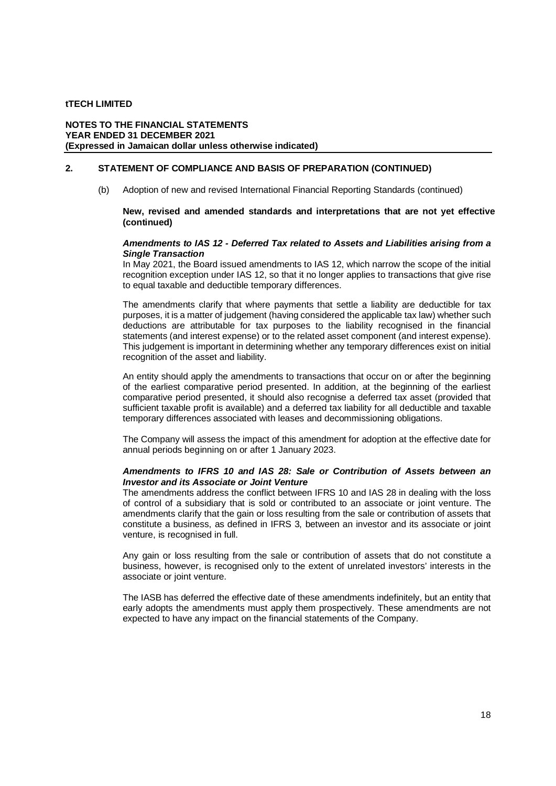#### **NOTES TO THE FINANCIAL STATEMENTS YEAR ENDED 31 DECEMBER 2021 (Expressed in Jamaican dollar unless otherwise indicated)**

## **2. STATEMENT OF COMPLIANCE AND BASIS OF PREPARATION (CONTINUED)**

(b) Adoption of new and revised International Financial Reporting Standards (continued)

### **New, revised and amended standards and interpretations that are not yet effective (continued)**

#### *Amendments to IAS 12 - Deferred Tax related to Assets and Liabilities arising from a Single Transaction*

In May 2021, the Board issued amendments to IAS 12, which narrow the scope of the initial recognition exception under IAS 12, so that it no longer applies to transactions that give rise to equal taxable and deductible temporary differences.

The amendments clarify that where payments that settle a liability are deductible for tax purposes, it is a matter of judgement (having considered the applicable tax law) whether such deductions are attributable for tax purposes to the liability recognised in the financial statements (and interest expense) or to the related asset component (and interest expense). This judgement is important in determining whether any temporary differences exist on initial recognition of the asset and liability.

An entity should apply the amendments to transactions that occur on or after the beginning of the earliest comparative period presented. In addition, at the beginning of the earliest comparative period presented, it should also recognise a deferred tax asset (provided that sufficient taxable profit is available) and a deferred tax liability for all deductible and taxable temporary differences associated with leases and decommissioning obligations.

The Company will assess the impact of this amendment for adoption at the effective date for annual periods beginning on or after 1 January 2023.

### *Amendments to IFRS 10 and IAS 28: Sale or Contribution of Assets between an Investor and its Associate or Joint Venture*

The amendments address the conflict between IFRS 10 and IAS 28 in dealing with the loss of control of a subsidiary that is sold or contributed to an associate or joint venture. The amendments clarify that the gain or loss resulting from the sale or contribution of assets that constitute a business, as defined in IFRS 3, between an investor and its associate or joint venture, is recognised in full.

Any gain or loss resulting from the sale or contribution of assets that do not constitute a business, however, is recognised only to the extent of unrelated investors' interests in the associate or joint venture.

The IASB has deferred the effective date of these amendments indefinitely, but an entity that early adopts the amendments must apply them prospectively. These amendments are not expected to have any impact on the financial statements of the Company.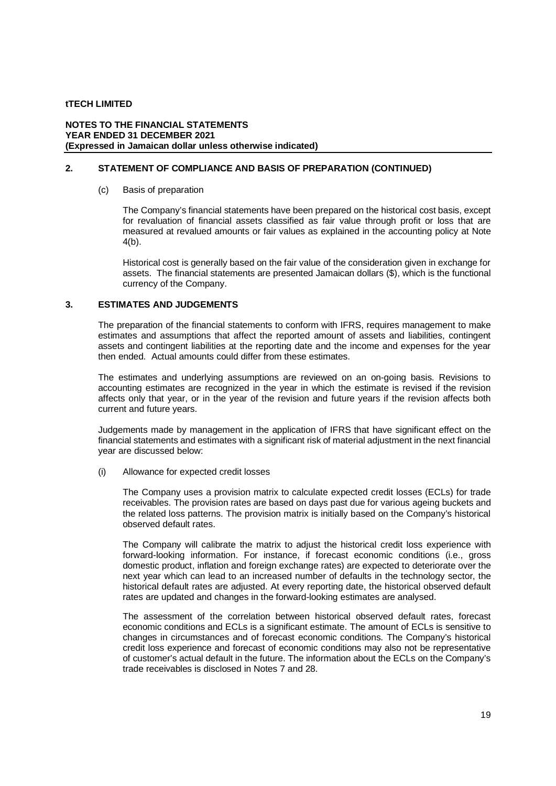#### **NOTES TO THE FINANCIAL STATEMENTS YEAR ENDED 31 DECEMBER 2021 (Expressed in Jamaican dollar unless otherwise indicated)**

## **2. STATEMENT OF COMPLIANCE AND BASIS OF PREPARATION (CONTINUED)**

(c) Basis of preparation

The Company's financial statements have been prepared on the historical cost basis, except for revaluation of financial assets classified as fair value through profit or loss that are measured at revalued amounts or fair values as explained in the accounting policy at Note 4(b).

Historical cost is generally based on the fair value of the consideration given in exchange for assets. The financial statements are presented Jamaican dollars (\$), which is the functional currency of the Company.

### **3. ESTIMATES AND JUDGEMENTS**

The preparation of the financial statements to conform with IFRS, requires management to make estimates and assumptions that affect the reported amount of assets and liabilities, contingent assets and contingent liabilities at the reporting date and the income and expenses for the year then ended. Actual amounts could differ from these estimates.

The estimates and underlying assumptions are reviewed on an on-going basis. Revisions to accounting estimates are recognized in the year in which the estimate is revised if the revision affects only that year, or in the year of the revision and future years if the revision affects both current and future years.

Judgements made by management in the application of IFRS that have significant effect on the financial statements and estimates with a significant risk of material adjustment in the next financial year are discussed below:

(i) Allowance for expected credit losses

The Company uses a provision matrix to calculate expected credit losses (ECLs) for trade receivables. The provision rates are based on days past due for various ageing buckets and the related loss patterns. The provision matrix is initially based on the Company's historical observed default rates.

The Company will calibrate the matrix to adjust the historical credit loss experience with forward-looking information. For instance, if forecast economic conditions (i.e., gross domestic product, inflation and foreign exchange rates) are expected to deteriorate over the next year which can lead to an increased number of defaults in the technology sector, the historical default rates are adjusted. At every reporting date, the historical observed default rates are updated and changes in the forward-looking estimates are analysed.

The assessment of the correlation between historical observed default rates, forecast economic conditions and ECLs is a significant estimate. The amount of ECLs is sensitive to changes in circumstances and of forecast economic conditions. The Company's historical credit loss experience and forecast of economic conditions may also not be representative of customer's actual default in the future. The information about the ECLs on the Company's trade receivables is disclosed in Notes 7 and 28.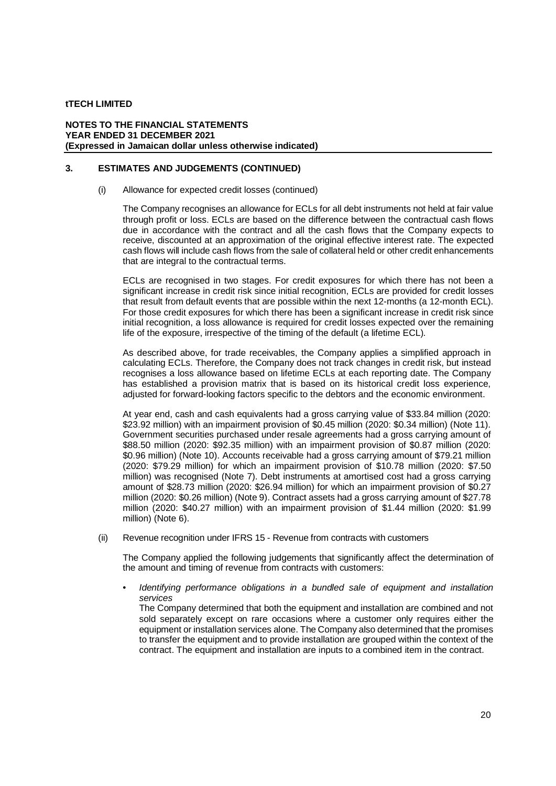**NOTES TO THE FINANCIAL STATEMENTS YEAR ENDED 31 DECEMBER 2021 (Expressed in Jamaican dollar unless otherwise indicated)**

## **3. ESTIMATES AND JUDGEMENTS (CONTINUED)**

(i) Allowance for expected credit losses (continued)

The Company recognises an allowance for ECLs for all debt instruments not held at fair value through profit or loss. ECLs are based on the difference between the contractual cash flows due in accordance with the contract and all the cash flows that the Company expects to receive, discounted at an approximation of the original effective interest rate. The expected cash flows will include cash flows from the sale of collateral held or other credit enhancements that are integral to the contractual terms.

ECLs are recognised in two stages. For credit exposures for which there has not been a significant increase in credit risk since initial recognition, ECLs are provided for credit losses that result from default events that are possible within the next 12-months (a 12-month ECL). For those credit exposures for which there has been a significant increase in credit risk since initial recognition, a loss allowance is required for credit losses expected over the remaining life of the exposure, irrespective of the timing of the default (a lifetime ECL).

As described above, for trade receivables, the Company applies a simplified approach in calculating ECLs. Therefore, the Company does not track changes in credit risk, but instead recognises a loss allowance based on lifetime ECLs at each reporting date. The Company has established a provision matrix that is based on its historical credit loss experience, adjusted for forward-looking factors specific to the debtors and the economic environment.

At year end, cash and cash equivalents had a gross carrying value of \$33.84 million (2020: \$23.92 million) with an impairment provision of \$0.45 million (2020: \$0.34 million) (Note 11). Government securities purchased under resale agreements had a gross carrying amount of \$88.50 million (2020: \$92.35 million) with an impairment provision of \$0.87 million (2020: \$0.96 million) (Note 10). Accounts receivable had a gross carrying amount of \$79.21 million (2020: \$79.29 million) for which an impairment provision of \$10.78 million (2020: \$7.50 million) was recognised (Note 7). Debt instruments at amortised cost had a gross carrying amount of \$28.73 million (2020: \$26.94 million) for which an impairment provision of \$0.27 million (2020: \$0.26 million) (Note 9). Contract assets had a gross carrying amount of \$27.78 million (2020: \$40.27 million) with an impairment provision of \$1.44 million (2020: \$1.99 million) (Note 6).

(ii) Revenue recognition under IFRS 15 - Revenue from contracts with customers

The Company applied the following judgements that significantly affect the determination of the amount and timing of revenue from contracts with customers:

• *Identifying performance obligations in a bundled sale of equipment and installation services*

The Company determined that both the equipment and installation are combined and not sold separately except on rare occasions where a customer only requires either the equipment or installation services alone. The Company also determined that the promises to transfer the equipment and to provide installation are grouped within the context of the contract. The equipment and installation are inputs to a combined item in the contract.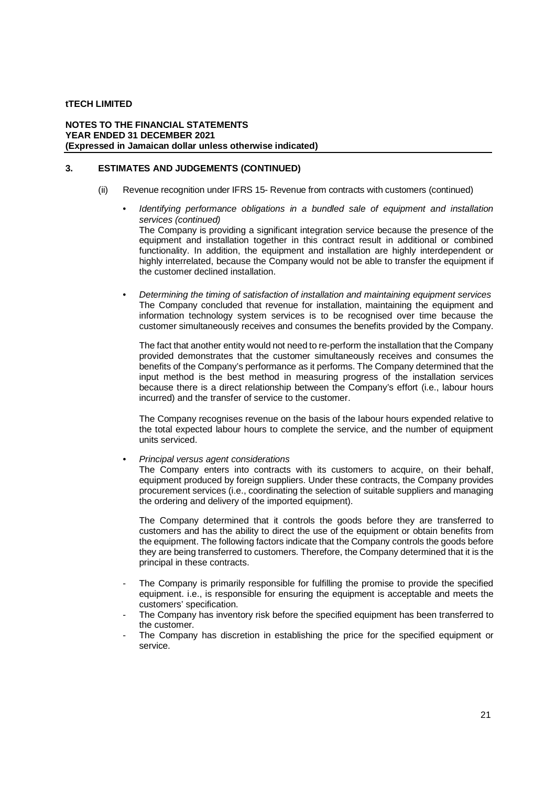**NOTES TO THE FINANCIAL STATEMENTS YEAR ENDED 31 DECEMBER 2021 (Expressed in Jamaican dollar unless otherwise indicated)**

## **3. ESTIMATES AND JUDGEMENTS (CONTINUED)**

- (ii) Revenue recognition under IFRS 15- Revenue from contracts with customers (continued)
	- • *Identifying performance obligations in a bundled sale of equipment and installation services (continued)* The Company is providing a significant integration service because the presence of the equipment and installation together in this contract result in additional or combined functionality. In addition, the equipment and installation are highly interdependent or highly interrelated, because the Company would not be able to transfer the equipment if the customer declined installation.
	- *Determining the timing of satisfaction of installation and maintaining equipment services* The Company concluded that revenue for installation, maintaining the equipment and information technology system services is to be recognised over time because the customer simultaneously receives and consumes the benefits provided by the Company.

The fact that another entity would not need to re-perform the installation that the Company provided demonstrates that the customer simultaneously receives and consumes the benefits of the Company's performance as it performs. The Company determined that the input method is the best method in measuring progress of the installation services because there is a direct relationship between the Company's effort (i.e., labour hours incurred) and the transfer of service to the customer.

The Company recognises revenue on the basis of the labour hours expended relative to the total expected labour hours to complete the service, and the number of equipment units serviced.

*• Principal versus agent considerations*

The Company enters into contracts with its customers to acquire, on their behalf, equipment produced by foreign suppliers. Under these contracts, the Company provides procurement services (i.e., coordinating the selection of suitable suppliers and managing the ordering and delivery of the imported equipment).

The Company determined that it controls the goods before they are transferred to customers and has the ability to direct the use of the equipment or obtain benefits from the equipment. The following factors indicate that the Company controls the goods before they are being transferred to customers. Therefore, the Company determined that it is the principal in these contracts.

- The Company is primarily responsible for fulfilling the promise to provide the specified equipment. i.e., is responsible for ensuring the equipment is acceptable and meets the customers' specification.
- The Company has inventory risk before the specified equipment has been transferred to the customer.
- The Company has discretion in establishing the price for the specified equipment or service.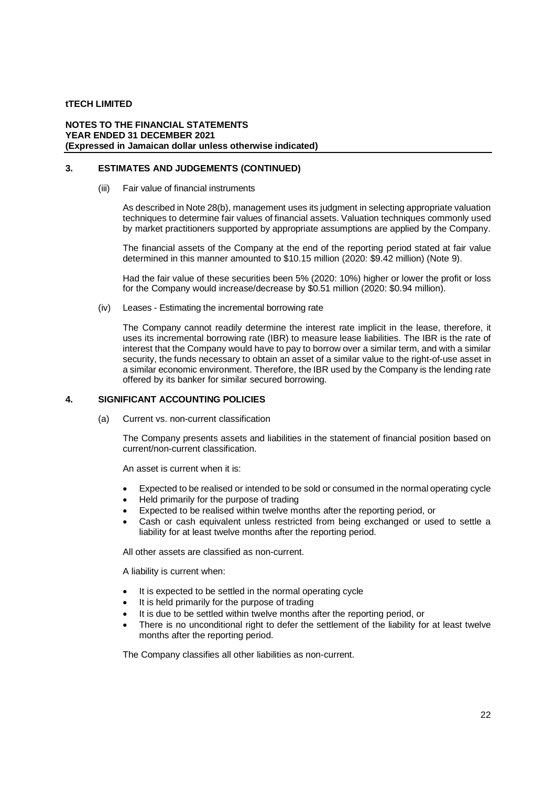### **NOTES TO THE FINANCIAL STATEMENTS YEAR ENDED 31 DECEMBER 2021 (Expressed in Jamaican dollar unless otherwise indicated)**

## **3. ESTIMATES AND JUDGEMENTS (CONTINUED)**

(iii) Fair value of financial instruments

As described in Note 28(b), management uses its judgment in selecting appropriate valuation techniques to determine fair values of financial assets. Valuation techniques commonly used by market practitioners supported by appropriate assumptions are applied by the Company.

The financial assets of the Company at the end of the reporting period stated at fair value determined in this manner amounted to \$10.15 million (2020: \$9.42 million) (Note 9).

Had the fair value of these securities been 5% (2020: 10%) higher or lower the profit or loss for the Company would increase/decrease by \$0.51 million (2020: \$0.94 million).

(iv) Leases - Estimating the incremental borrowing rate

The Company cannot readily determine the interest rate implicit in the lease, therefore, it uses its incremental borrowing rate (IBR) to measure lease liabilities. The IBR is the rate of interest that the Company would have to pay to borrow over a similar term, and with a similar security, the funds necessary to obtain an asset of a similar value to the right-of-use asset in a similar economic environment. Therefore, the IBR used by the Company is the lending rate offered by its banker for similar secured borrowing.

### **4. SIGNIFICANT ACCOUNTING POLICIES**

(a) Current vs. non-current classification

The Company presents assets and liabilities in the statement of financial position based on current/non-current classification.

An asset is current when it is:

- Expected to be realised or intended to be sold or consumed in the normal operating cycle
- Held primarily for the purpose of trading
- Expected to be realised within twelve months after the reporting period, or
- Cash or cash equivalent unless restricted from being exchanged or used to settle a liability for at least twelve months after the reporting period.

All other assets are classified as non-current.

A liability is current when:

- It is expected to be settled in the normal operating cycle
- It is held primarily for the purpose of trading
- It is due to be settled within twelve months after the reporting period, or
- There is no unconditional right to defer the settlement of the liability for at least twelve months after the reporting period.

The Company classifies all other liabilities as non-current.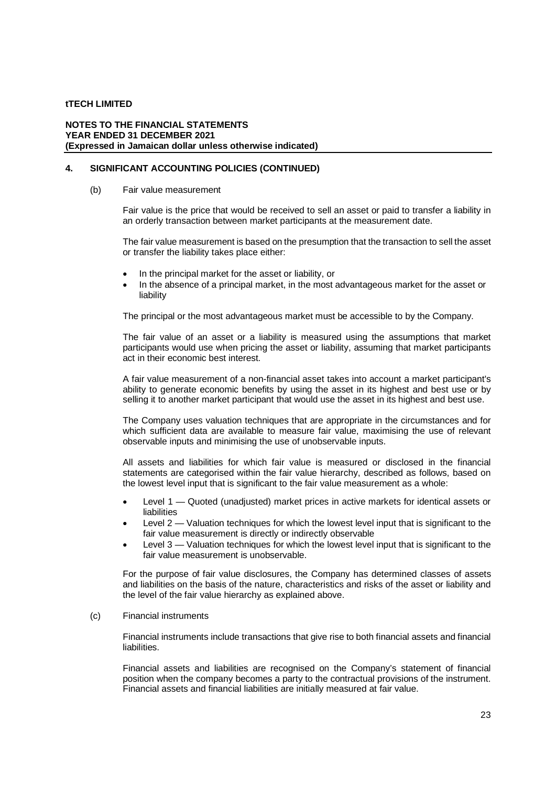#### **NOTES TO THE FINANCIAL STATEMENTS YEAR ENDED 31 DECEMBER 2021 (Expressed in Jamaican dollar unless otherwise indicated)**

## **4. SIGNIFICANT ACCOUNTING POLICIES (CONTINUED)**

#### (b) Fair value measurement

Fair value is the price that would be received to sell an asset or paid to transfer a liability in an orderly transaction between market participants at the measurement date.

The fair value measurement is based on the presumption that the transaction to sell the asset or transfer the liability takes place either:

- In the principal market for the asset or liability, or
- In the absence of a principal market, in the most advantageous market for the asset or liability

The principal or the most advantageous market must be accessible to by the Company.

The fair value of an asset or a liability is measured using the assumptions that market participants would use when pricing the asset or liability, assuming that market participants act in their economic best interest.

A fair value measurement of a non-financial asset takes into account a market participant's ability to generate economic benefits by using the asset in its highest and best use or by selling it to another market participant that would use the asset in its highest and best use.

The Company uses valuation techniques that are appropriate in the circumstances and for which sufficient data are available to measure fair value, maximising the use of relevant observable inputs and minimising the use of unobservable inputs.

All assets and liabilities for which fair value is measured or disclosed in the financial statements are categorised within the fair value hierarchy, described as follows, based on the lowest level input that is significant to the fair value measurement as a whole:

- Level 1 Quoted (unadjusted) market prices in active markets for identical assets or liabilities
- Level 2 Valuation techniques for which the lowest level input that is significant to the fair value measurement is directly or indirectly observable
- Level 3 Valuation techniques for which the lowest level input that is significant to the fair value measurement is unobservable.

For the purpose of fair value disclosures, the Company has determined classes of assets and liabilities on the basis of the nature, characteristics and risks of the asset or liability and the level of the fair value hierarchy as explained above.

### (c) Financial instruments

Financial instruments include transactions that give rise to both financial assets and financial liabilities.

Financial assets and liabilities are recognised on the Company's statement of financial position when the company becomes a party to the contractual provisions of the instrument. Financial assets and financial liabilities are initially measured at fair value.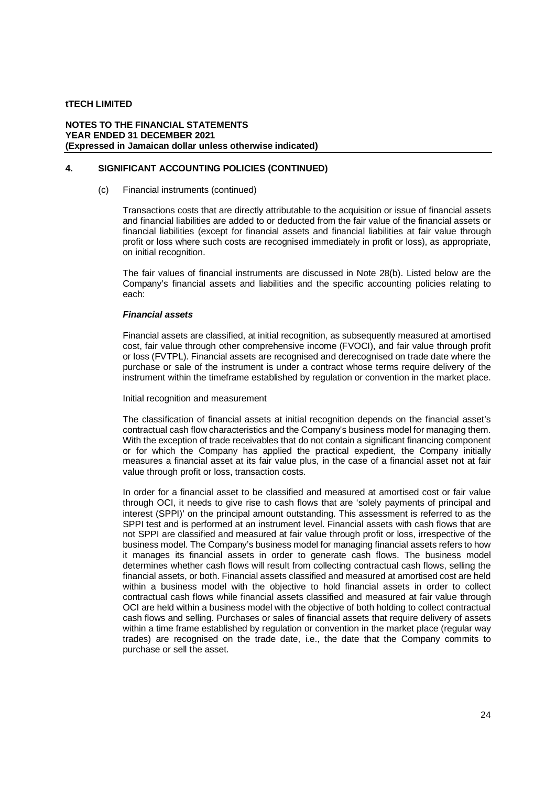#### **NOTES TO THE FINANCIAL STATEMENTS YEAR ENDED 31 DECEMBER 2021 (Expressed in Jamaican dollar unless otherwise indicated)**

## **4. SIGNIFICANT ACCOUNTING POLICIES (CONTINUED)**

#### (c) Financial instruments (continued)

Transactions costs that are directly attributable to the acquisition or issue of financial assets and financial liabilities are added to or deducted from the fair value of the financial assets or financial liabilities (except for financial assets and financial liabilities at fair value through profit or loss where such costs are recognised immediately in profit or loss), as appropriate, on initial recognition.

The fair values of financial instruments are discussed in Note 28(b). Listed below are the Company's financial assets and liabilities and the specific accounting policies relating to each:

#### *Financial assets*

Financial assets are classified, at initial recognition, as subsequently measured at amortised cost, fair value through other comprehensive income (FVOCI), and fair value through profit or loss (FVTPL). Financial assets are recognised and derecognised on trade date where the purchase or sale of the instrument is under a contract whose terms require delivery of the instrument within the timeframe established by regulation or convention in the market place.

#### Initial recognition and measurement

The classification of financial assets at initial recognition depends on the financial asset's contractual cash flow characteristics and the Company's business model for managing them. With the exception of trade receivables that do not contain a significant financing component or for which the Company has applied the practical expedient, the Company initially measures a financial asset at its fair value plus, in the case of a financial asset not at fair value through profit or loss, transaction costs.

In order for a financial asset to be classified and measured at amortised cost or fair value through OCI, it needs to give rise to cash flows that are 'solely payments of principal and interest (SPPI)' on the principal amount outstanding. This assessment is referred to as the SPPI test and is performed at an instrument level. Financial assets with cash flows that are not SPPI are classified and measured at fair value through profit or loss, irrespective of the business model. The Company's business model for managing financial assets refers to how it manages its financial assets in order to generate cash flows. The business model determines whether cash flows will result from collecting contractual cash flows, selling the financial assets, or both. Financial assets classified and measured at amortised cost are held within a business model with the objective to hold financial assets in order to collect contractual cash flows while financial assets classified and measured at fair value through OCI are held within a business model with the objective of both holding to collect contractual cash flows and selling. Purchases or sales of financial assets that require delivery of assets within a time frame established by regulation or convention in the market place (regular way trades) are recognised on the trade date, i.e., the date that the Company commits to purchase or sell the asset.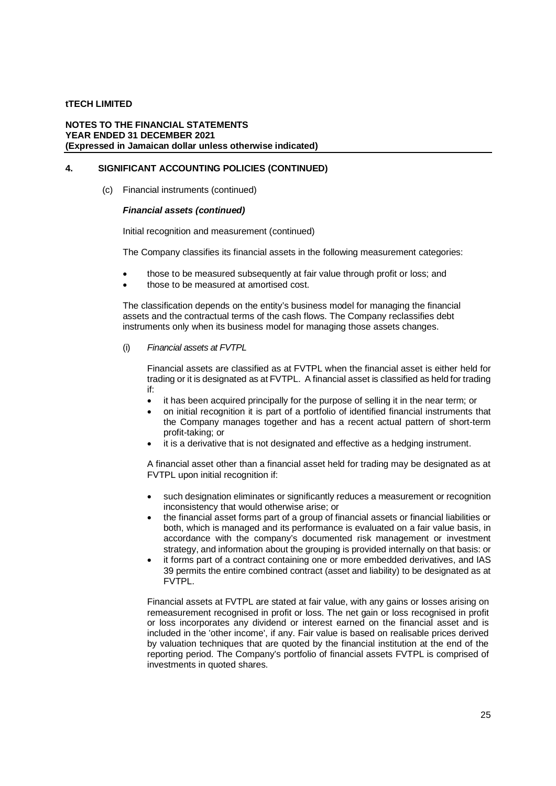### **NOTES TO THE FINANCIAL STATEMENTS YEAR ENDED 31 DECEMBER 2021 (Expressed in Jamaican dollar unless otherwise indicated)**

## **4. SIGNIFICANT ACCOUNTING POLICIES (CONTINUED)**

(c) Financial instruments (continued)

### *Financial assets (continued)*

Initial recognition and measurement (continued)

The Company classifies its financial assets in the following measurement categories:

- those to be measured subsequently at fair value through profit or loss; and
- those to be measured at amortised cost.

The classification depends on the entity's business model for managing the financial assets and the contractual terms of the cash flows. The Company reclassifies debt instruments only when its business model for managing those assets changes.

(i) *Financial assets at FVTPL*

Financial assets are classified as at FVTPL when the financial asset is either held for trading or it is designated as at FVTPL. A financial asset is classified as held for trading if:

- it has been acquired principally for the purpose of selling it in the near term; or
- on initial recognition it is part of a portfolio of identified financial instruments that the Company manages together and has a recent actual pattern of short-term profit-taking; or
- it is a derivative that is not designated and effective as a hedging instrument.

A financial asset other than a financial asset held for trading may be designated as at FVTPL upon initial recognition if:

- such designation eliminates or significantly reduces a measurement or recognition inconsistency that would otherwise arise; or
- the financial asset forms part of a group of financial assets or financial liabilities or both, which is managed and its performance is evaluated on a fair value basis, in accordance with the company's documented risk management or investment strategy, and information about the grouping is provided internally on that basis: or
- it forms part of a contract containing one or more embedded derivatives, and IAS 39 permits the entire combined contract (asset and liability) to be designated as at FVTPL.

Financial assets at FVTPL are stated at fair value, with any gains or losses arising on remeasurement recognised in profit or loss. The net gain or loss recognised in profit or loss incorporates any dividend or interest earned on the financial asset and is included in the 'other income', if any. Fair value is based on realisable prices derived by valuation techniques that are quoted by the financial institution at the end of the reporting period. The Company's portfolio of financial assets FVTPL is comprised of investments in quoted shares.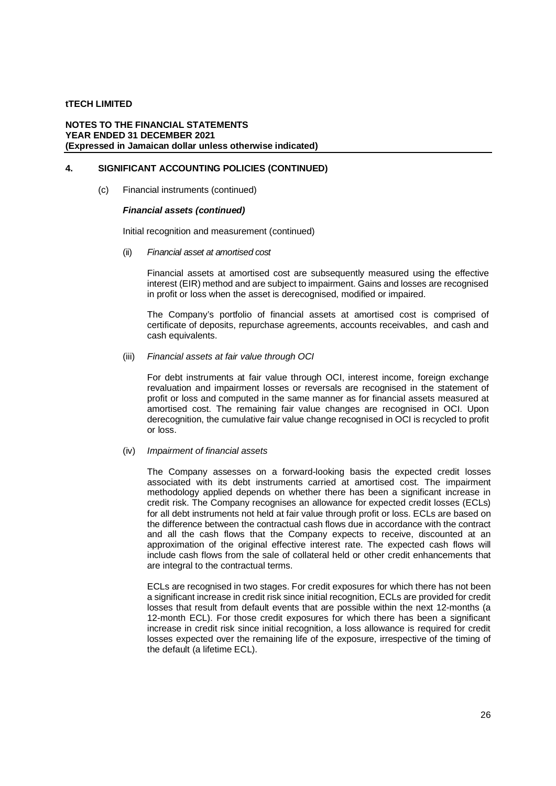**NOTES TO THE FINANCIAL STATEMENTS YEAR ENDED 31 DECEMBER 2021 (Expressed in Jamaican dollar unless otherwise indicated)**

## **4. SIGNIFICANT ACCOUNTING POLICIES (CONTINUED)**

(c) Financial instruments (continued)

#### *Financial assets (continued)*

Initial recognition and measurement (continued)

(ii) *Financial asset at amortised cost*

Financial assets at amortised cost are subsequently measured using the effective interest (EIR) method and are subject to impairment. Gains and losses are recognised in profit or loss when the asset is derecognised, modified or impaired.

The Company's portfolio of financial assets at amortised cost is comprised of certificate of deposits, repurchase agreements, accounts receivables, and cash and cash equivalents.

#### (iii) *Financial assets at fair value through OCI*

For debt instruments at fair value through OCI, interest income, foreign exchange revaluation and impairment losses or reversals are recognised in the statement of profit or loss and computed in the same manner as for financial assets measured at amortised cost. The remaining fair value changes are recognised in OCI. Upon derecognition, the cumulative fair value change recognised in OCI is recycled to profit or loss.

#### (iv) *Impairment of financial assets*

The Company assesses on a forward-looking basis the expected credit losses associated with its debt instruments carried at amortised cost. The impairment methodology applied depends on whether there has been a significant increase in credit risk. The Company recognises an allowance for expected credit losses (ECLs) for all debt instruments not held at fair value through profit or loss. ECLs are based on the difference between the contractual cash flows due in accordance with the contract and all the cash flows that the Company expects to receive, discounted at an approximation of the original effective interest rate. The expected cash flows will include cash flows from the sale of collateral held or other credit enhancements that are integral to the contractual terms.

ECLs are recognised in two stages. For credit exposures for which there has not been a significant increase in credit risk since initial recognition, ECLs are provided for credit losses that result from default events that are possible within the next 12-months (a 12-month ECL). For those credit exposures for which there has been a significant increase in credit risk since initial recognition, a loss allowance is required for credit losses expected over the remaining life of the exposure, irrespective of the timing of the default (a lifetime ECL).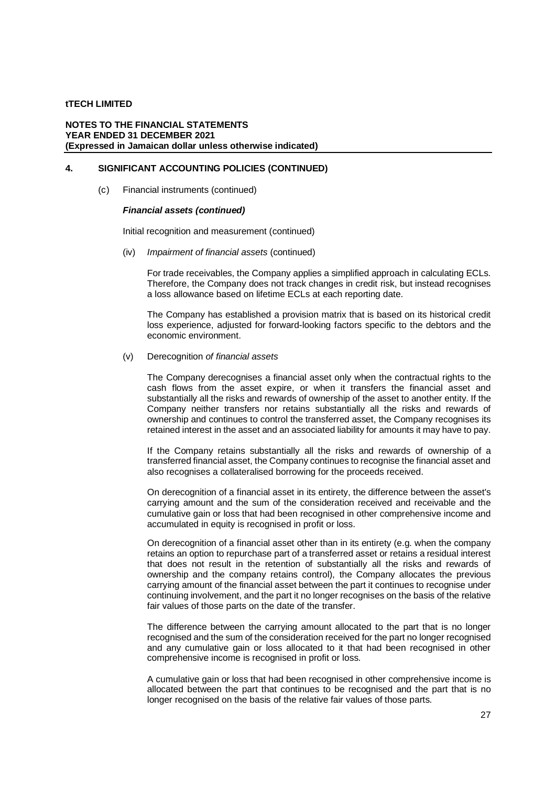**NOTES TO THE FINANCIAL STATEMENTS YEAR ENDED 31 DECEMBER 2021 (Expressed in Jamaican dollar unless otherwise indicated)**

## **4. SIGNIFICANT ACCOUNTING POLICIES (CONTINUED)**

(c ) Financial instruments (continued)

#### *Financial assets (continued)*

Initial recognition and measurement (continued)

(iv) *Impairment of financial assets* (continued)

For trade receivables, the Company applies a simplified approach in calculating ECLs. Therefore, the Company does not track changes in credit risk, but instead recognises a loss allowance based on lifetime ECLs at each reporting date.

The Company has established a provision matrix that is based on its historical credit loss experience, adjusted for forward-looking factors specific to the debtors and the economic environment.

(v) Derecognition *of financial assets*

The Company derecognises a financial asset only when the contractual rights to the cash flows from the asset expire, or when it transfers the financial asset and substantially all the risks and rewards of ownership of the asset to another entity. If the Company neither transfers nor retains substantially all the risks and rewards of ownership and continues to control the transferred asset, the Company recognises its retained interest in the asset and an associated liability for amounts it may have to pay.

If the Company retains substantially all the risks and rewards of ownership of a transferred financial asset, the Company continues to recognise the financial asset and also recognises a collateralised borrowing for the proceeds received.

On derecognition of a financial asset in its entirety, the difference between the asset's carrying amount and the sum of the consideration received and receivable and the cumulative gain or loss that had been recognised in other comprehensive income and accumulated in equity is recognised in profit or loss.

On derecognition of a financial asset other than in its entirety (e.g. when the company retains an option to repurchase part of a transferred asset or retains a residual interest that does not result in the retention of substantially all the risks and rewards of ownership and the company retains control), the Company allocates the previous carrying amount of the financial asset between the part it continues to recognise under continuing involvement, and the part it no longer recognises on the basis of the relative fair values of those parts on the date of the transfer.

The difference between the carrying amount allocated to the part that is no longer recognised and the sum of the consideration received for the part no longer recognised and any cumulative gain or loss allocated to it that had been recognised in other comprehensive income is recognised in profit or loss.

A cumulative gain or loss that had been recognised in other comprehensive income is allocated between the part that continues to be recognised and the part that is no longer recognised on the basis of the relative fair values of those parts.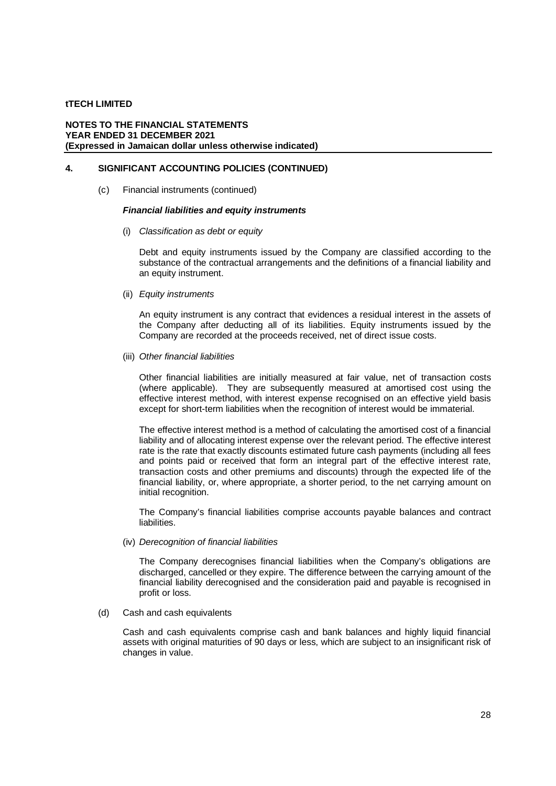**NOTES TO THE FINANCIAL STATEMENTS YEAR ENDED 31 DECEMBER 2021 (Expressed in Jamaican dollar unless otherwise indicated)**

## **4. SIGNIFICANT ACCOUNTING POLICIES (CONTINUED)**

(c ) Financial instruments (continued)

#### *Financial liabilities and equity instruments*

(i) *Classification as debt or equity*

Debt and equity instruments issued by the Company are classified according to the substance of the contractual arrangements and the definitions of a financial liability and an equity instrument.

(ii) *Equity instruments*

An equity instrument is any contract that evidences a residual interest in the assets of the Company after deducting all of its liabilities. Equity instruments issued by the Company are recorded at the proceeds received, net of direct issue costs.

(iii) *Other financial liabilities*

Other financial liabilities are initially measured at fair value, net of transaction costs (where applicable). They are subsequently measured at amortised cost using the effective interest method, with interest expense recognised on an effective yield basis except for short-term liabilities when the recognition of interest would be immaterial.

The effective interest method is a method of calculating the amortised cost of a financial liability and of allocating interest expense over the relevant period. The effective interest rate is the rate that exactly discounts estimated future cash payments (including all fees and points paid or received that form an integral part of the effective interest rate, transaction costs and other premiums and discounts) through the expected life of the financial liability, or, where appropriate, a shorter period, to the net carrying amount on initial recognition.

The Company's financial liabilities comprise accounts payable balances and contract liabilities.

(iv) *Derecognition of financial liabilities*

The Company derecognises financial liabilities when the Company's obligations are discharged, cancelled or they expire. The difference between the carrying amount of the financial liability derecognised and the consideration paid and payable is recognised in profit or loss.

(d) Cash and cash equivalents

Cash and cash equivalents comprise cash and bank balances and highly liquid financial assets with original maturities of 90 days or less, which are subject to an insignificant risk of changes in value.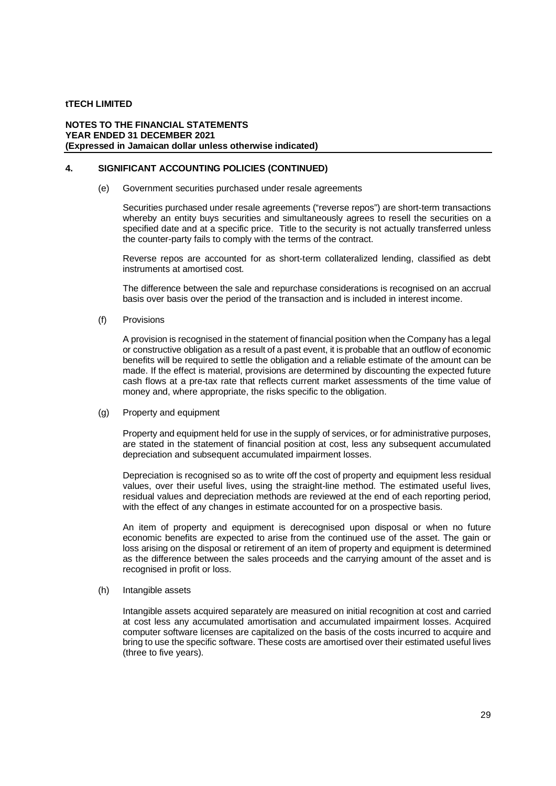#### **NOTES TO THE FINANCIAL STATEMENTS YEAR ENDED 31 DECEMBER 2021 (Expressed in Jamaican dollar unless otherwise indicated)**

## **4. SIGNIFICANT ACCOUNTING POLICIES (CONTINUED)**

(e) Government securities purchased under resale agreements

Securities purchased under resale agreements ("reverse repos") are short-term transactions whereby an entity buys securities and simultaneously agrees to resell the securities on a specified date and at a specific price. Title to the security is not actually transferred unless the counter-party fails to comply with the terms of the contract.

Reverse repos are accounted for as short-term collateralized lending, classified as debt instruments at amortised cost.

The difference between the sale and repurchase considerations is recognised on an accrual basis over basis over the period of the transaction and is included in interest income.

(f) Provisions

A provision is recognised in the statement of financial position when the Company has a legal or constructive obligation as a result of a past event, it is probable that an outflow of economic benefits will be required to settle the obligation and a reliable estimate of the amount can be made. If the effect is material, provisions are determined by discounting the expected future cash flows at a pre-tax rate that reflects current market assessments of the time value of money and, where appropriate, the risks specific to the obligation.

(g) Property and equipment

Property and equipment held for use in the supply of services, or for administrative purposes, are stated in the statement of financial position at cost, less any subsequent accumulated depreciation and subsequent accumulated impairment losses.

Depreciation is recognised so as to write off the cost of property and equipment less residual values, over their useful lives, using the straight-line method. The estimated useful lives, residual values and depreciation methods are reviewed at the end of each reporting period, with the effect of any changes in estimate accounted for on a prospective basis.

An item of property and equipment is derecognised upon disposal or when no future economic benefits are expected to arise from the continued use of the asset. The gain or loss arising on the disposal or retirement of an item of property and equipment is determined as the difference between the sales proceeds and the carrying amount of the asset and is recognised in profit or loss.

(h) Intangible assets

Intangible assets acquired separately are measured on initial recognition at cost and carried at cost less any accumulated amortisation and accumulated impairment losses. Acquired computer software licenses are capitalized on the basis of the costs incurred to acquire and bring to use the specific software. These costs are amortised over their estimated useful lives (three to five years).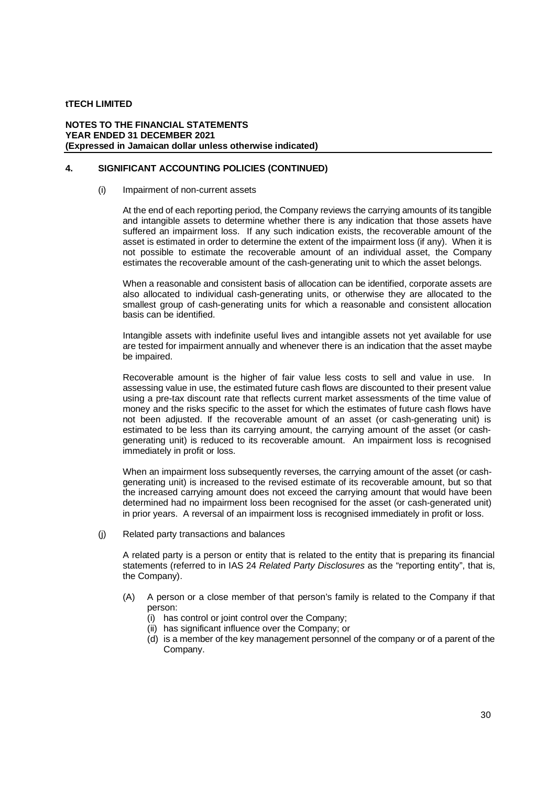**NOTES TO THE FINANCIAL STATEMENTS YEAR ENDED 31 DECEMBER 2021 (Expressed in Jamaican dollar unless otherwise indicated)**

## **4. SIGNIFICANT ACCOUNTING POLICIES (CONTINUED)**

#### (i) Impairment of non-current assets

At the end of each reporting period, the Company reviews the carrying amounts of its tangible and intangible assets to determine whether there is any indication that those assets have suffered an impairment loss. If any such indication exists, the recoverable amount of the asset is estimated in order to determine the extent of the impairment loss (if any). When it is not possible to estimate the recoverable amount of an individual asset, the Company estimates the recoverable amount of the cash-generating unit to which the asset belongs.

When a reasonable and consistent basis of allocation can be identified, corporate assets are also allocated to individual cash-generating units, or otherwise they are allocated to the smallest group of cash-generating units for which a reasonable and consistent allocation basis can be identified.

Intangible assets with indefinite useful lives and intangible assets not yet available for use are tested for impairment annually and whenever there is an indication that the asset maybe be impaired.

Recoverable amount is the higher of fair value less costs to sell and value in use. In assessing value in use, the estimated future cash flows are discounted to their present value using a pre-tax discount rate that reflects current market assessments of the time value of money and the risks specific to the asset for which the estimates of future cash flows have not been adjusted. If the recoverable amount of an asset (or cash-generating unit) is estimated to be less than its carrying amount, the carrying amount of the asset (or cashgenerating unit) is reduced to its recoverable amount. An impairment loss is recognised immediately in profit or loss.

When an impairment loss subsequently reverses, the carrying amount of the asset (or cashgenerating unit) is increased to the revised estimate of its recoverable amount, but so that the increased carrying amount does not exceed the carrying amount that would have been determined had no impairment loss been recognised for the asset (or cash-generated unit) in prior years. A reversal of an impairment loss is recognised immediately in profit or loss.

(j) Related party transactions and balances

A related party is a person or entity that is related to the entity that is preparing its financial statements (referred to in IAS 24 *Related Party Disclosures* as the "reporting entity", that is, the Company).

- (A) A person or a close member of that person's family is related to the Company if that person:
	- (i) has control or joint control over the Company;
	- (ii) has significant influence over the Company; or
	- (d) is a member of the key management personnel of the company or of a parent of the Company.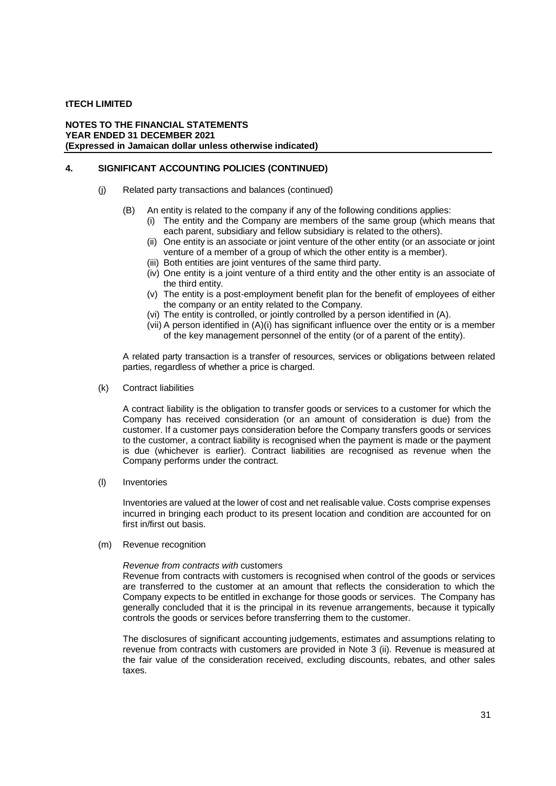## **NOTES TO THE FINANCIAL STATEMENTS YEAR ENDED 31 DECEMBER 2021 (Expressed in Jamaican dollar unless otherwise indicated)**

## **4. SIGNIFICANT ACCOUNTING POLICIES (CONTINUED)**

- (j) Related party transactions and balances (continued)
	- (B) An entity is related to the company if any of the following conditions applies:
		- (i) The entity and the Company are members of the same group (which means that each parent, subsidiary and fellow subsidiary is related to the others).
		- (ii) One entity is an associate or joint venture of the other entity (or an associate or joint venture of a member of a group of which the other entity is a member).
		- (iii) Both entities are joint ventures of the same third party.
		- (iv) One entity is a joint venture of a third entity and the other entity is an associate of the third entity.
		- (v) The entity is a post-employment benefit plan for the benefit of employees of either the company or an entity related to the Company.
		- (vi) The entity is controlled, or jointly controlled by a person identified in (A).
		- $(vii)$  A person identified in  $(A)(i)$  has significant influence over the entity or is a member of the key management personnel of the entity (or of a parent of the entity).

A related party transaction is a transfer of resources, services or obligations between related parties, regardless of whether a price is charged.

(k) Contract liabilities

A contract liability is the obligation to transfer goods or services to a customer for which the Company has received consideration (or an amount of consideration is due) from the customer. If a customer pays consideration before the Company transfers goods or services to the customer, a contract liability is recognised when the payment is made or the payment is due (whichever is earlier). Contract liabilities are recognised as revenue when the Company performs under the contract.

(l) Inventories

Inventories are valued at the lower of cost and net realisable value. Costs comprise expenses incurred in bringing each product to its present location and condition are accounted for on first in/first out basis.

(m) Revenue recognition

#### *Revenue from contracts with* customers

Revenue from contracts with customers is recognised when control of the goods or services are transferred to the customer at an amount that reflects the consideration to which the Company expects to be entitled in exchange for those goods or services. The Company has generally concluded that it is the principal in its revenue arrangements, because it typically controls the goods or services before transferring them to the customer.

The disclosures of significant accounting judgements, estimates and assumptions relating to revenue from contracts with customers are provided in Note 3 (ii). Revenue is measured at the fair value of the consideration received, excluding discounts, rebates, and other sales taxes.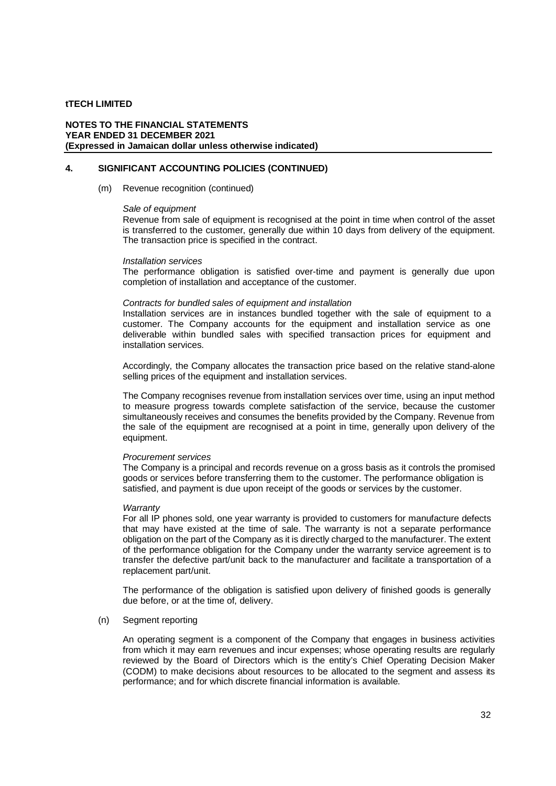#### **NOTES TO THE FINANCIAL STATEMENTS YEAR ENDED 31 DECEMBER 2021 (Expressed in Jamaican dollar unless otherwise indicated)**

## **4. SIGNIFICANT ACCOUNTING POLICIES (CONTINUED)**

#### (m) Revenue recognition (continued)

#### *Sale of equipment*

Revenue from sale of equipment is recognised at the point in time when control of the asset is transferred to the customer, generally due within 10 days from delivery of the equipment. The transaction price is specified in the contract.

#### *Installation services*

The performance obligation is satisfied over-time and payment is generally due upon completion of installation and acceptance of the customer.

#### *Contracts for bundled sales of equipment and installation*

Installation services are in instances bundled together with the sale of equipment to a customer. The Company accounts for the equipment and installation service as one deliverable within bundled sales with specified transaction prices for equipment and installation services.

Accordingly, the Company allocates the transaction price based on the relative stand-alone selling prices of the equipment and installation services.

The Company recognises revenue from installation services over time, using an input method to measure progress towards complete satisfaction of the service, because the customer simultaneously receives and consumes the benefits provided by the Company. Revenue from the sale of the equipment are recognised at a point in time, generally upon delivery of the equipment.

#### *Procurement services*

The Company is a principal and records revenue on a gross basis as it controls the promised goods or services before transferring them to the customer. The performance obligation is satisfied, and payment is due upon receipt of the goods or services by the customer.

#### *Warranty*

For all IP phones sold, one year warranty is provided to customers for manufacture defects that may have existed at the time of sale. The warranty is not a separate performance obligation on the part of the Company as it is directly charged to the manufacturer. The extent of the performance obligation for the Company under the warranty service agreement is to transfer the defective part/unit back to the manufacturer and facilitate a transportation of a replacement part/unit.

The performance of the obligation is satisfied upon delivery of finished goods is generally due before, or at the time of, delivery.

#### (n) Segment reporting

An operating segment is a component of the Company that engages in business activities from which it may earn revenues and incur expenses; whose operating results are regularly reviewed by the Board of Directors which is the entity's Chief Operating Decision Maker (CODM) to make decisions about resources to be allocated to the segment and assess its performance; and for which discrete financial information is available.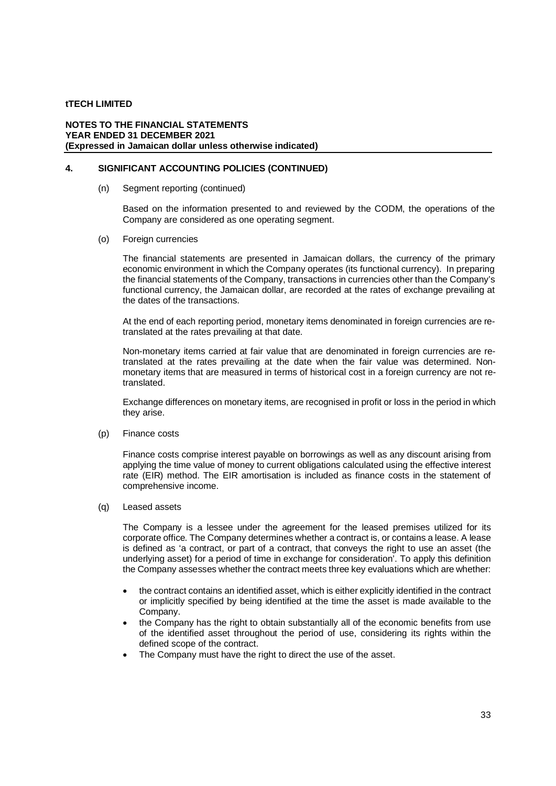**NOTES TO THE FINANCIAL STATEMENTS YEAR ENDED 31 DECEMBER 2021 (Expressed in Jamaican dollar unless otherwise indicated)**

## **4. SIGNIFICANT ACCOUNTING POLICIES (CONTINUED)**

### (n) Segment reporting (continued)

Based on the information presented to and reviewed by the CODM, the operations of the Company are considered as one operating segment.

(o) Foreign currencies

The financial statements are presented in Jamaican dollars, the currency of the primary economic environment in which the Company operates (its functional currency). In preparing the financial statements of the Company, transactions in currencies other than the Company's functional currency, the Jamaican dollar, are recorded at the rates of exchange prevailing at the dates of the transactions.

At the end of each reporting period, monetary items denominated in foreign currencies are retranslated at the rates prevailing at that date.

Non-monetary items carried at fair value that are denominated in foreign currencies are retranslated at the rates prevailing at the date when the fair value was determined. Nonmonetary items that are measured in terms of historical cost in a foreign currency are not retranslated.

Exchange differences on monetary items, are recognised in profit or loss in the period in which they arise.

(p) Finance costs

Finance costs comprise interest payable on borrowings as well as any discount arising from applying the time value of money to current obligations calculated using the effective interest rate (EIR) method. The EIR amortisation is included as finance costs in the statement of comprehensive income.

(q) Leased assets

The Company is a lessee under the agreement for the leased premises utilized for its corporate office. The Company determines whether a contract is, or contains a lease. A lease is defined as 'a contract, or part of a contract, that conveys the right to use an asset (the underlying asset) for a period of time in exchange for consideration'. To apply this definition the Company assesses whether the contract meets three key evaluations which are whether:

- the contract contains an identified asset, which is either explicitly identified in the contract or implicitly specified by being identified at the time the asset is made available to the Company.
- the Company has the right to obtain substantially all of the economic benefits from use of the identified asset throughout the period of use, considering its rights within the defined scope of the contract.
- The Company must have the right to direct the use of the asset.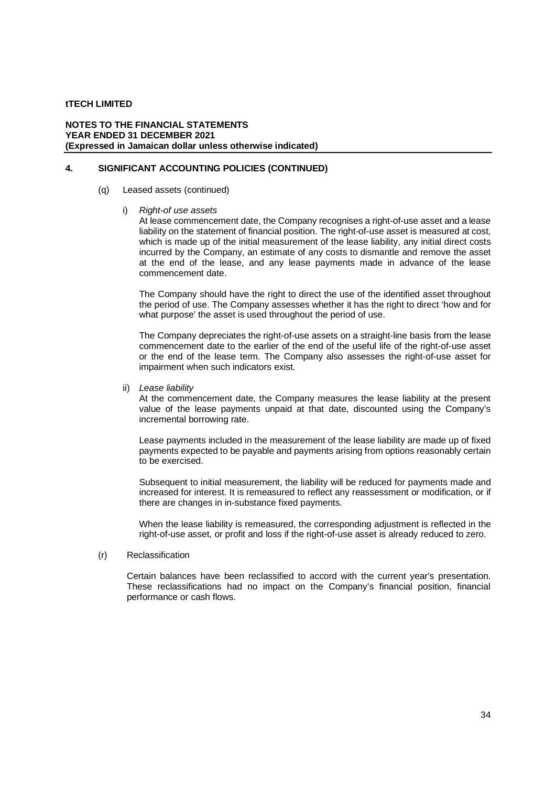#### **NOTES TO THE FINANCIAL STATEMENTS YEAR ENDED 31 DECEMBER 2021 (Expressed in Jamaican dollar unless otherwise indicated)**

## **4. SIGNIFICANT ACCOUNTING POLICIES (CONTINUED)**

#### (q) Leased assets (continued)

#### i) *Right-of use assets*

At lease commencement date, the Company recognises a right-of-use asset and a lease liability on the statement of financial position. The right-of-use asset is measured at cost, which is made up of the initial measurement of the lease liability, any initial direct costs incurred by the Company, an estimate of any costs to dismantle and remove the asset at the end of the lease, and any lease payments made in advance of the lease commencement date.

The Company should have the right to direct the use of the identified asset throughout the period of use. The Company assesses whether it has the right to direct 'how and for what purpose' the asset is used throughout the period of use.

The Company depreciates the right-of-use assets on a straight-line basis from the lease commencement date to the earlier of the end of the useful life of the right-of-use asset or the end of the lease term. The Company also assesses the right-of-use asset for impairment when such indicators exist.

#### ii) *Lease liability*

At the commencement date, the Company measures the lease liability at the present value of the lease payments unpaid at that date, discounted using the Company's incremental borrowing rate.

Lease payments included in the measurement of the lease liability are made up of fixed payments expected to be payable and payments arising from options reasonably certain to be exercised.

Subsequent to initial measurement, the liability will be reduced for payments made and increased for interest. It is remeasured to reflect any reassessment or modification, or if there are changes in in-substance fixed payments.

When the lease liability is remeasured, the corresponding adjustment is reflected in the right-of-use asset, or profit and loss if the right-of-use asset is already reduced to zero.

#### (r) Reclassification

Certain balances have been reclassified to accord with the current year's presentation. These reclassifications had no impact on the Company's financial position, financial performance or cash flows.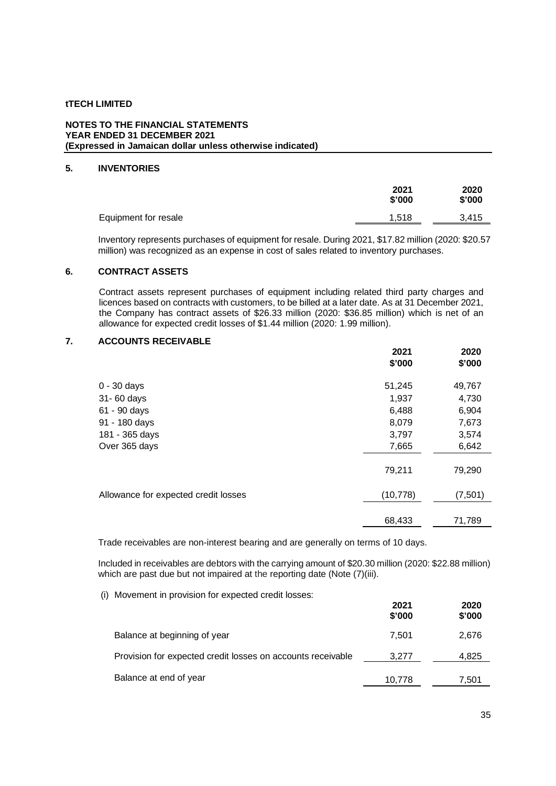### **NOTES TO THE FINANCIAL STATEMENTS YEAR ENDED 31 DECEMBER 2021 (Expressed in Jamaican dollar unless otherwise indicated)**

## **5. INVENTORIES**

|                      | 2021<br>\$'000 | 2020<br>\$'000 |
|----------------------|----------------|----------------|
| Equipment for resale | 1,518          | 3,415          |

Inventory represents purchases of equipment for resale. During 2021, \$17.82 million (2020: \$20.57 million) was recognized as an expense in cost of sales related to inventory purchases.

## **6. CONTRACT ASSETS**

Contract assets represent purchases of equipment including related third party charges and licences based on contracts with customers, to be billed at a later date. As at 31 December 2021, the Company has contract assets of \$26.33 million (2020: \$36.85 million) which is net of an allowance for expected credit losses of \$1.44 million (2020: 1.99 million).

### **7. ACCOUNTS RECEIVABLE**

|                                      | 2021      | 2020    |
|--------------------------------------|-----------|---------|
|                                      | \$'000    | \$'000  |
| $0 - 30$ days                        | 51,245    | 49,767  |
| 31-60 days                           | 1,937     | 4,730   |
| 61 - 90 days                         | 6,488     | 6,904   |
| 91 - 180 days                        | 8,079     | 7,673   |
| 181 - 365 days                       | 3,797     | 3,574   |
| Over 365 days                        | 7,665     | 6,642   |
|                                      | 79,211    | 79,290  |
| Allowance for expected credit losses | (10, 778) | (7,501) |
|                                      | 68,433    | 71,789  |

Trade receivables are non-interest bearing and are generally on terms of 10 days.

Included in receivables are debtors with the carrying amount of \$20.30 million (2020: \$22.88 million) which are past due but not impaired at the reporting date (Note (7)(iii).

(i) Movement in provision for expected credit losses:

|                                                             | 2021<br>\$'000 | 2020<br>\$'000 |
|-------------------------------------------------------------|----------------|----------------|
| Balance at beginning of year                                | 7.501          | 2.676          |
| Provision for expected credit losses on accounts receivable | 3.277          | 4,825          |
| Balance at end of year                                      | 10,778         | 7.501          |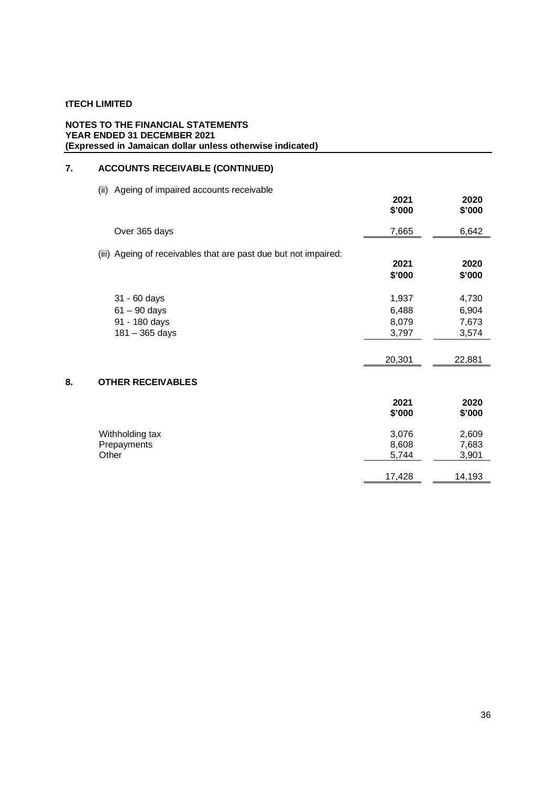## **NOTES TO THE FINANCIAL STATEMENTS YEAR ENDED 31 DECEMBER 2021 (Expressed in Jamaican dollar unless otherwise indicated)**

## **7. ACCOUNTS RECEIVABLE (CONTINUED)**

|    | Ageing of impaired accounts receivable<br>(ii)                      |                                  |                                  |
|----|---------------------------------------------------------------------|----------------------------------|----------------------------------|
|    |                                                                     | 2021<br>\$'000                   | 2020<br>\$'000                   |
|    | Over 365 days                                                       | 7,665                            | 6,642                            |
|    | (iii) Ageing of receivables that are past due but not impaired:     | 2021<br>\$'000                   | 2020<br>\$'000                   |
|    | 31 - 60 days<br>$61 - 90$ days<br>91 - 180 days<br>$181 - 365$ days | 1,937<br>6,488<br>8,079<br>3,797 | 4,730<br>6,904<br>7,673<br>3,574 |
|    |                                                                     | 20,301                           | 22,881                           |
| 8. | <b>OTHER RECEIVABLES</b>                                            |                                  |                                  |
|    |                                                                     | 2021<br>\$'000                   | 2020<br>\$'000                   |
|    | Withholding tax<br>Prepayments                                      | 3,076<br>8,608                   | 2,609<br>7,683                   |

Other 5,744 3,901

17,428 14,193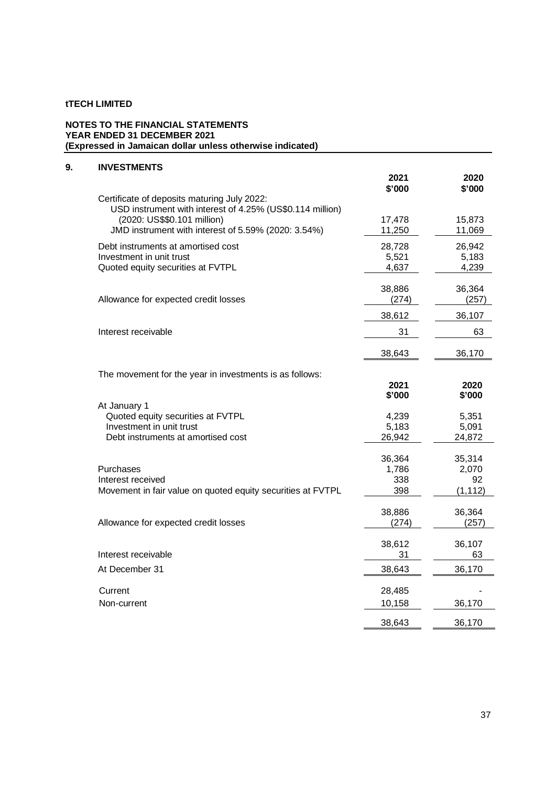## **NOTES TO THE FINANCIAL STATEMENTS YEAR ENDED 31 DECEMBER 2021 (Expressed in Jamaican dollar unless otherwise indicated)**

## **9. INVESTMENTS**

|                                                                                          | 2021<br>\$'000   | 2020<br>\$'000   |
|------------------------------------------------------------------------------------------|------------------|------------------|
| Certificate of deposits maturing July 2022:                                              |                  |                  |
| USD instrument with interest of 4.25% (US\$0.114 million)<br>(2020: US\$\$0.101 million) |                  |                  |
| JMD instrument with interest of 5.59% (2020: 3.54%)                                      | 17,478<br>11,250 | 15,873<br>11,069 |
|                                                                                          |                  |                  |
| Debt instruments at amortised cost<br>Investment in unit trust                           | 28,728<br>5,521  | 26,942<br>5,183  |
| Quoted equity securities at FVTPL                                                        | 4,637            | 4,239            |
|                                                                                          |                  |                  |
|                                                                                          | 38,886           | 36,364           |
| Allowance for expected credit losses                                                     | (274)            | (257)            |
|                                                                                          | 38,612           | 36,107           |
| Interest receivable                                                                      | 31               | 63               |
|                                                                                          | 38,643           | 36,170           |
|                                                                                          |                  |                  |
| The movement for the year in investments is as follows:                                  | 2021             | 2020             |
|                                                                                          | \$'000           | \$'000           |
| At January 1                                                                             |                  |                  |
| Quoted equity securities at FVTPL                                                        | 4,239            | 5,351            |
| Investment in unit trust                                                                 | 5,183<br>26,942  | 5,091<br>24,872  |
| Debt instruments at amortised cost                                                       |                  |                  |
|                                                                                          | 36,364           | 35,314           |
| Purchases                                                                                | 1,786            | 2,070            |
| Interest received                                                                        | 338              | 92               |
| Movement in fair value on quoted equity securities at FVTPL                              | 398              | (1, 112)         |
|                                                                                          | 38,886           | 36,364           |
| Allowance for expected credit losses                                                     | (274)            | (257)            |
|                                                                                          | 38,612           | 36,107           |
| Interest receivable                                                                      | 31               | 63               |
| At December 31                                                                           | 38,643           | 36,170           |
|                                                                                          |                  |                  |
| Current                                                                                  | 28,485           |                  |
| Non-current                                                                              | 10,158           | 36,170           |
|                                                                                          | 38,643           | 36,170           |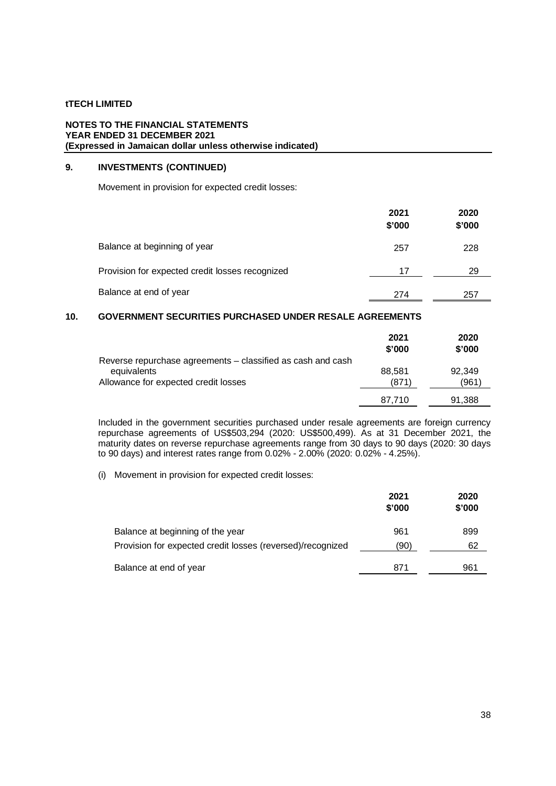### **NOTES TO THE FINANCIAL STATEMENTS YEAR ENDED 31 DECEMBER 2021 (Expressed in Jamaican dollar unless otherwise indicated)**

## **9. INVESTMENTS (CONTINUED)**

Movement in provision for expected credit losses:

|                                                 | 2021<br>\$'000 | 2020<br>\$'000 |
|-------------------------------------------------|----------------|----------------|
| Balance at beginning of year                    | 257            | 228            |
| Provision for expected credit losses recognized | 17             | 29             |
| Balance at end of year                          | 274            | 257            |

## **10. GOVERNMENT SECURITIES PURCHASED UNDER RESALE AGREEMENTS**

|                                                                                                                    | 2021<br>\$'000  | 2020<br>\$'000  |
|--------------------------------------------------------------------------------------------------------------------|-----------------|-----------------|
| Reverse repurchase agreements – classified as cash and cash<br>equivalents<br>Allowance for expected credit losses | 88.581<br>(871) | 92.349<br>(961) |
|                                                                                                                    | 87.710          | 91.388          |

Included in the government securities purchased under resale agreements are foreign currency repurchase agreements of US\$503,294 (2020: US\$500,499). As at 31 December 2021, the maturity dates on reverse repurchase agreements range from 30 days to 90 days (2020: 30 days to 90 days) and interest rates range from 0.02% - 2.00% (2020: 0.02% - 4.25%).

(i) Movement in provision for expected credit losses:

|                                                            | 2021<br>\$'000 | 2020<br>\$'000 |
|------------------------------------------------------------|----------------|----------------|
| Balance at beginning of the year                           | 961            | 899            |
| Provision for expected credit losses (reversed)/recognized | (90)           | 62             |
| Balance at end of year                                     | 871            | 961            |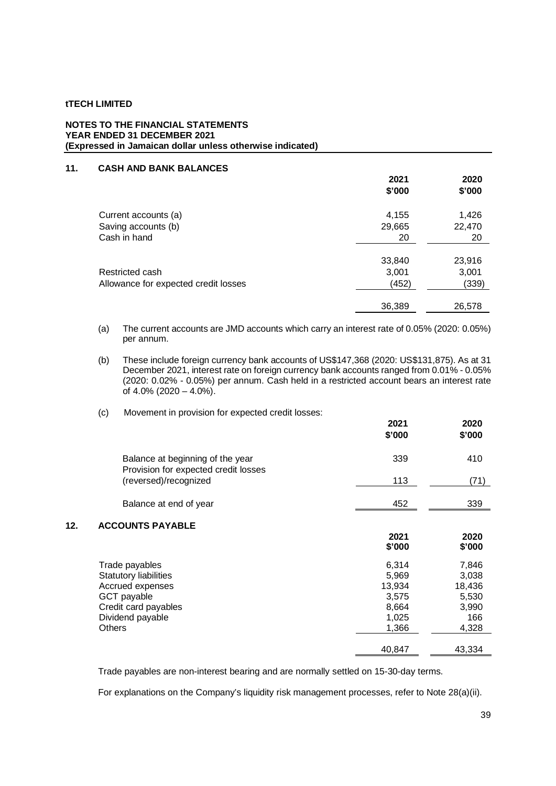#### **NOTES TO THE FINANCIAL STATEMENTS YEAR ENDED 31 DECEMBER 2021 (Expressed in Jamaican dollar unless otherwise indicated)**

## **11. CASH AND BANK BALANCES**

|                                      | 2021<br>\$'000 | 2020<br>\$'000 |
|--------------------------------------|----------------|----------------|
| Current accounts (a)                 | 4,155          | 1,426          |
| Saving accounts (b)                  | 29,665         | 22,470         |
| Cash in hand                         | 20             | 20             |
|                                      |                |                |
|                                      | 33,840         | 23,916         |
| Restricted cash                      | 3,001          | 3,001          |
| Allowance for expected credit losses | (452)          | (339)          |
|                                      |                |                |
|                                      | 36,389         | 26,578         |

- (a) The current accounts are JMD accounts which carry an interest rate of 0.05% (2020: 0.05%) per annum.
- (b) These include foreign currency bank accounts of US\$147,368 (2020: US\$131,875). As at 31 December 2021, interest rate on foreign currency bank accounts ranged from 0.01% - 0.05% (2020: 0.02% - 0.05%) per annum. Cash held in a restricted account bears an interest rate of 4.0% (2020 – 4.0%).
- (c) Movement in provision for expected credit losses:

|     |                                                                          | 2021<br>\$'000 | 2020<br>\$'000 |
|-----|--------------------------------------------------------------------------|----------------|----------------|
|     | Balance at beginning of the year<br>Provision for expected credit losses | 339            | 410            |
|     | (reversed)/recognized                                                    | 113            | (71)           |
|     | Balance at end of year                                                   | 452            | 339            |
| 12. | <b>ACCOUNTS PAYABLE</b>                                                  |                |                |
|     |                                                                          | 2021<br>\$'000 | 2020<br>\$'000 |
|     | Trade payables                                                           | 6,314          | 7,846          |
|     | Statutory liabilities                                                    | 5,969          | 3,038          |
|     | Accrued expenses                                                         | 13,934         | 18,436         |
|     | GCT payable                                                              | 3,575          | 5,530          |
|     | Credit card payables                                                     | 8,664          | 3,990          |
|     | Dividend payable                                                         | 1,025          | 166            |
|     | <b>Others</b>                                                            | 1,366          | 4,328          |
|     |                                                                          | 40,847         | 43,334         |
|     |                                                                          |                |                |

Trade payables are non-interest bearing and are normally settled on 15-30-day terms.

For explanations on the Company's liquidity risk management processes, refer to Note 28(a)(ii).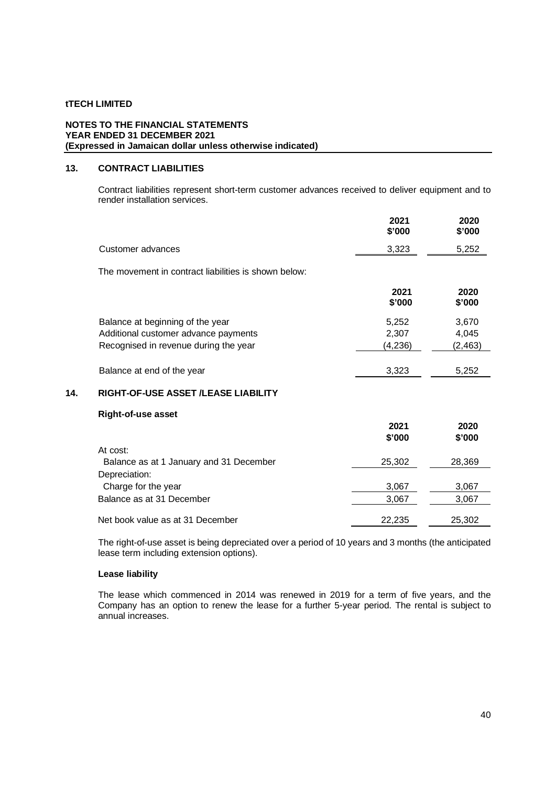### **NOTES TO THE FINANCIAL STATEMENTS YEAR ENDED 31 DECEMBER 2021 (Expressed in Jamaican dollar unless otherwise indicated)**

## **13. CONTRACT LIABILITIES**

Contract liabilities represent short-term customer advances received to deliver equipment and to render installation services.

|     |                                                      | 2021<br>\$'000 | 2020<br>\$'000 |
|-----|------------------------------------------------------|----------------|----------------|
|     | Customer advances                                    | 3,323          | 5,252          |
|     | The movement in contract liabilities is shown below: |                |                |
|     |                                                      | 2021<br>\$'000 | 2020<br>\$'000 |
|     | Balance at beginning of the year                     | 5,252          | 3,670          |
|     | Additional customer advance payments                 | 2,307          | 4,045          |
|     | Recognised in revenue during the year                | (4,236)        | (2, 463)       |
|     | Balance at end of the year                           | 3,323          | 5,252          |
| 14. | RIGHT-OF-USE ASSET /LEASE LIABILITY                  |                |                |
|     | <b>Right-of-use asset</b>                            |                |                |
|     |                                                      | 2021           | 2020           |
|     |                                                      | \$'000         | \$'000         |
|     | At cost:                                             |                |                |
|     | Balance as at 1 January and 31 December              | 25,302         | 28,369         |
|     | Depreciation:                                        |                |                |
|     | Charge for the year                                  | 3,067          | 3,067          |
|     | Balance as at 31 December                            | 3,067          | 3,067          |
|     | Net book value as at 31 December                     | 22,235         | 25,302         |

The right-of-use asset is being depreciated over a period of 10 years and 3 months (the anticipated lease term including extension options).

#### **Lease liability**

The lease which commenced in 2014 was renewed in 2019 for a term of five years, and the Company has an option to renew the lease for a further 5-year period. The rental is subject to annual increases.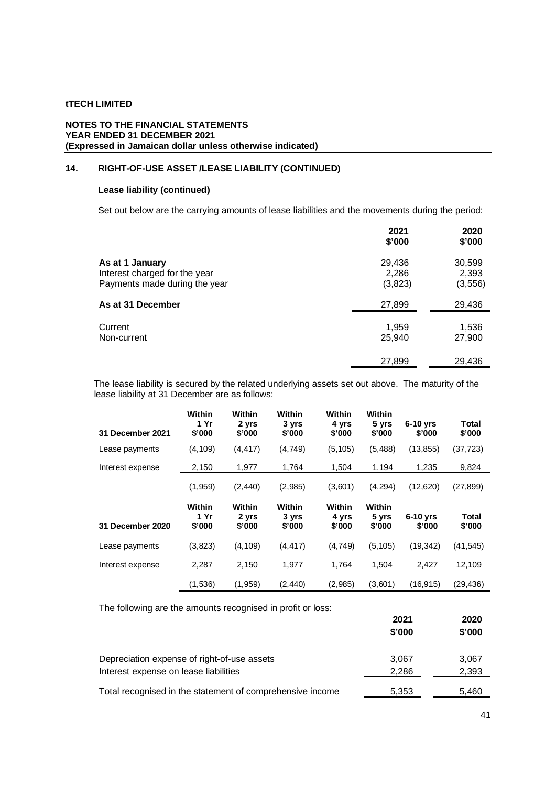### **NOTES TO THE FINANCIAL STATEMENTS YEAR ENDED 31 DECEMBER 2021 (Expressed in Jamaican dollar unless otherwise indicated)**

## **14. RIGHT-OF-USE ASSET /LEASE LIABILITY (CONTINUED)**

## **Lease liability (continued)**

Set out below are the carrying amounts of lease liabilities and the movements during the period:

|                                                                                   | 2021<br>\$'000             | 2020<br>\$'000             |
|-----------------------------------------------------------------------------------|----------------------------|----------------------------|
| As at 1 January<br>Interest charged for the year<br>Payments made during the year | 29,436<br>2,286<br>(3,823) | 30,599<br>2,393<br>(3,556) |
| As at 31 December                                                                 | 27,899                     | 29,436                     |
| Current<br>Non-current                                                            | 1,959<br>25,940            | 1,536<br>27,900            |
|                                                                                   | 27,899                     | 29,436                     |

The lease liability is secured by the related underlying assets set out above. The maturity of the lease liability at 31 December are as follows:

|                  | Within<br>1 Yr | Within<br>2 yrs | Within<br>3 yrs | Within<br>4 yrs | Within<br>5 yrs | $6-10$ yrs | Total     |
|------------------|----------------|-----------------|-----------------|-----------------|-----------------|------------|-----------|
| 31 December 2021 | \$'000         | \$'000          | \$'000          | \$'000          | \$'000          | \$'000     | \$'000    |
| Lease payments   | (4, 109)       | (4, 417)        | (4,749)         | (5, 105)        | (5,488)         | (13, 855)  | (37, 723) |
| Interest expense | 2,150          | 1,977           | 1,764           | 1,504           | 1,194           | 1,235      | 9,824     |
|                  | (1, 959)       | (2, 440)        | (2,985)         | (3,601)         | (4, 294)        | (12,620)   | (27, 899) |
|                  |                |                 |                 |                 |                 |            |           |
|                  | Within<br>1 Yr | Within<br>2 yrs | Within<br>3 yrs | Within<br>4 yrs | Within<br>5 yrs | $6-10$ yrs | Total     |
| 31 December 2020 | \$'000         | \$'000          | \$'000          | \$'000          | \$'000          | \$'000     | \$'000    |
| Lease payments   | (3,823)        | (4, 109)        | (4, 417)        | (4, 749)        | (5, 105)        | (19, 342)  | (41, 545) |
| Interest expense | 2,287          | 2,150           | 1,977           | 1,764           | 1,504           | 2,427      | 12,109    |

The following are the amounts recognised in profit or loss:

|                                                           | 2021<br>\$'000 | 2020<br>\$'000 |
|-----------------------------------------------------------|----------------|----------------|
| Depreciation expense of right-of-use assets               | 3.067          | 3,067          |
| Interest expense on lease liabilities                     | 2.286          | 2,393          |
| Total recognised in the statement of comprehensive income | 5,353          | 5,460          |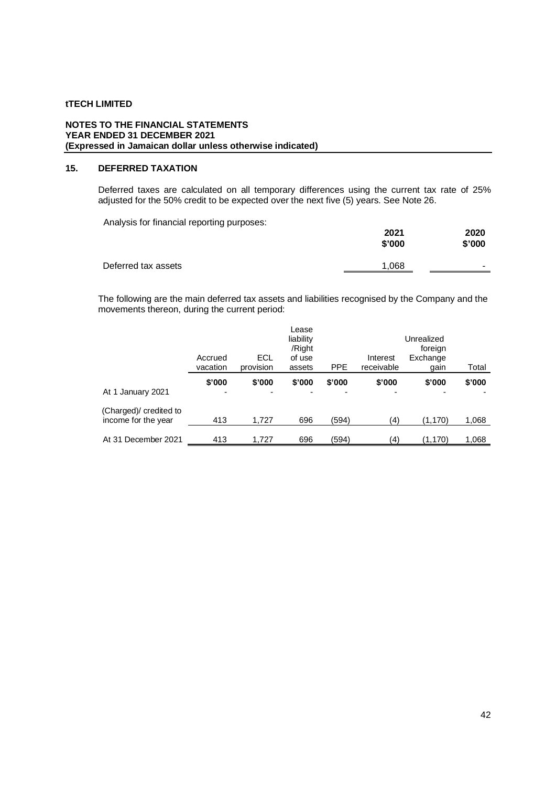### **NOTES TO THE FINANCIAL STATEMENTS YEAR ENDED 31 DECEMBER 2021 (Expressed in Jamaican dollar unless otherwise indicated)**

## **15. DEFERRED TAXATION**

Deferred taxes are calculated on all temporary differences using the current tax rate of 25% adjusted for the 50% credit to be expected over the next five (5) years. See Note 26.

Analysis for financial reporting purposes:

|                     | 2021<br>\$'000 | 2020<br>\$'000 |
|---------------------|----------------|----------------|
| Deferred tax assets | 1,068          | -              |
|                     |                |                |

The following are the main deferred tax assets and liabilities recognised by the Company and the movements thereon, during the current period:

|                                               | Accrued<br>vacation | ECL<br>provision | Lease<br>liability<br>/Right<br>of use<br>assets | <b>PPE</b> | Unrealized<br>foreign<br>Exchange<br>Interest<br>receivable<br>gain |          | Total  |
|-----------------------------------------------|---------------------|------------------|--------------------------------------------------|------------|---------------------------------------------------------------------|----------|--------|
| At 1 January 2021                             | \$'000              | \$'000           | \$'000<br>-                                      | \$'000     | \$'000<br>۰                                                         | \$'000   | \$'000 |
| (Charged)/ credited to<br>income for the year | 413                 | 1,727            | 696                                              | (594)      | (4)                                                                 | (1, 170) | 1,068  |
| At 31 December 2021                           | 413                 | 1.727            | 696                                              | (594)      | $\left( 4\right)$                                                   | (1, 170) | 1,068  |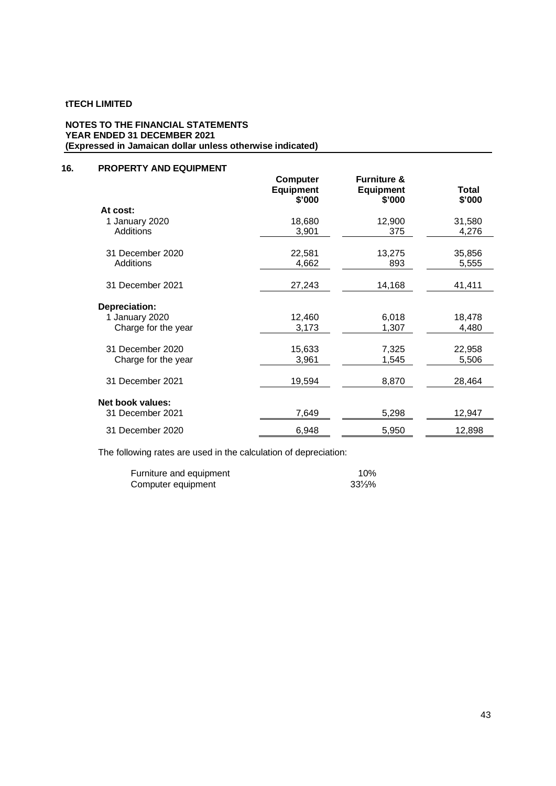## **NOTES TO THE FINANCIAL STATEMENTS YEAR ENDED 31 DECEMBER 2021 (Expressed in Jamaican dollar unless otherwise indicated)**

## **16. PROPERTY AND EQUIPMENT**

|                     | <b>Computer</b><br><b>Equipment</b><br>\$'000 | <b>Furniture &amp;</b><br><b>Equipment</b><br>\$'000 | Total<br>\$'000 |
|---------------------|-----------------------------------------------|------------------------------------------------------|-----------------|
| At cost:            |                                               |                                                      |                 |
| 1 January 2020      | 18,680                                        | 12,900                                               | 31,580          |
| Additions           | 3,901                                         | 375                                                  | 4,276           |
| 31 December 2020    | 22,581                                        | 13,275                                               | 35,856          |
| Additions           | 4,662                                         | 893                                                  | 5,555           |
| 31 December 2021    | 27,243                                        | 14,168                                               | 41,411          |
|                     |                                               |                                                      |                 |
| Depreciation:       |                                               |                                                      |                 |
| 1 January 2020      | 12,460                                        | 6,018                                                | 18,478          |
| Charge for the year | 3,173                                         | 1,307                                                | 4,480           |
| 31 December 2020    | 15,633                                        | 7,325                                                | 22,958          |
| Charge for the year | 3,961                                         | 1,545                                                | 5,506           |
| 31 December 2021    | 19,594                                        | 8,870                                                | 28,464          |
|                     |                                               |                                                      |                 |
| Net book values:    |                                               |                                                      |                 |
| 31 December 2021    | 7,649                                         | 5,298                                                | 12,947          |
| 31 December 2020    | 6,948                                         | 5,950                                                | 12,898          |

The following rates are used in the calculation of depreciation:

| Furniture and equipment | 10%                 |
|-------------------------|---------------------|
| Computer equipment      | 331/ <sub>3</sub> % |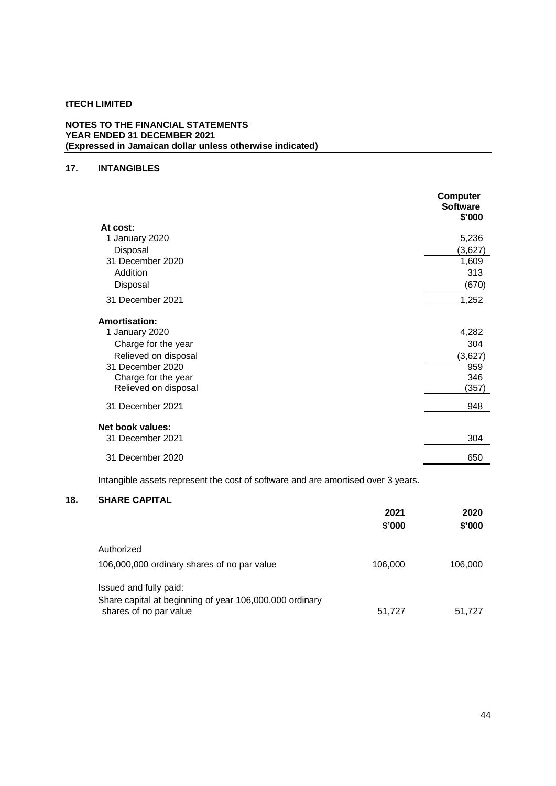## **NOTES TO THE FINANCIAL STATEMENTS YEAR ENDED 31 DECEMBER 2021 (Expressed in Jamaican dollar unless otherwise indicated)**

## **17. INTANGIBLES**

|                      | Computer<br><b>Software</b><br>\$'000 |
|----------------------|---------------------------------------|
| At cost:             |                                       |
| 1 January 2020       | 5,236                                 |
| Disposal             | (3,627)                               |
| 31 December 2020     | 1,609                                 |
| Addition             | 313                                   |
| Disposal             | (670)                                 |
| 31 December 2021     | 1,252                                 |
| Amortisation:        |                                       |
| 1 January 2020       | 4,282                                 |
| Charge for the year  | 304                                   |
| Relieved on disposal | (3,627)                               |
| 31 December 2020     | 959                                   |
| Charge for the year  | 346                                   |
| Relieved on disposal | (357)                                 |
| 31 December 2021     | 948                                   |
| Net book values:     |                                       |
| 31 December 2021     | 304                                   |
| 31 December 2020     | 650                                   |

Intangible assets represent the cost of software and are amortised over 3 years.

## **18. SHARE CAPITAL**

|                                                                                   | 2021<br>\$'000 | 2020<br>\$'000 |
|-----------------------------------------------------------------------------------|----------------|----------------|
| Authorized                                                                        |                |                |
| 106,000,000 ordinary shares of no par value                                       | 106.000        | 106,000        |
| Issued and fully paid:                                                            |                |                |
| Share capital at beginning of year 106,000,000 ordinary<br>shares of no par value | 51,727         | 51,727         |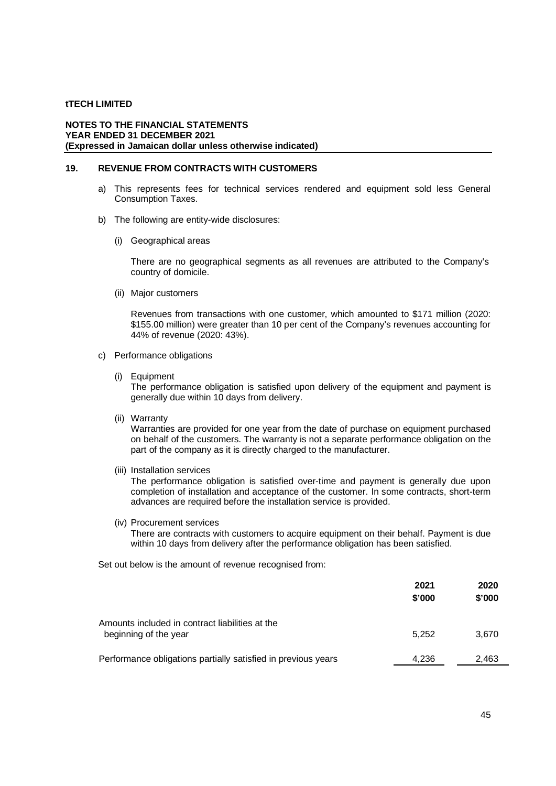#### **NOTES TO THE FINANCIAL STATEMENTS YEAR ENDED 31 DECEMBER 2021 (Expressed in Jamaican dollar unless otherwise indicated)**

## **19. REVENUE FROM CONTRACTS WITH CUSTOMERS**

- a) This represents fees for technical services rendered and equipment sold less General Consumption Taxes.
- b) The following are entity-wide disclosures:
	- (i) Geographical areas

 There are no geographical segments as all revenues are attributed to the Company's country of domicile.

(ii) Major customers

 Revenues from transactions with one customer, which amounted to \$171 million (2020: \$155.00 million) were greater than 10 per cent of the Company's revenues accounting for 44% of revenue (2020: 43%).

- c) Performance obligations
	- (i) Equipment

The performance obligation is satisfied upon delivery of the equipment and payment is generally due within 10 days from delivery.

(ii) Warranty

Warranties are provided for one year from the date of purchase on equipment purchased on behalf of the customers. The warranty is not a separate performance obligation on the part of the company as it is directly charged to the manufacturer.

(iii) Installation services

The performance obligation is satisfied over-time and payment is generally due upon completion of installation and acceptance of the customer. In some contracts, short-term advances are required before the installation service is provided.

(iv) Procurement services There are contracts with customers to acquire equipment on their behalf. Payment is due within 10 days from delivery after the performance obligation has been satisfied.

Set out below is the amount of revenue recognised from:

|                                                                          | 2021<br>\$'000 | 2020<br>\$'000 |
|--------------------------------------------------------------------------|----------------|----------------|
| Amounts included in contract liabilities at the<br>beginning of the year | 5.252          | 3.670          |
| Performance obligations partially satisfied in previous years            | 4.236          | 2.463          |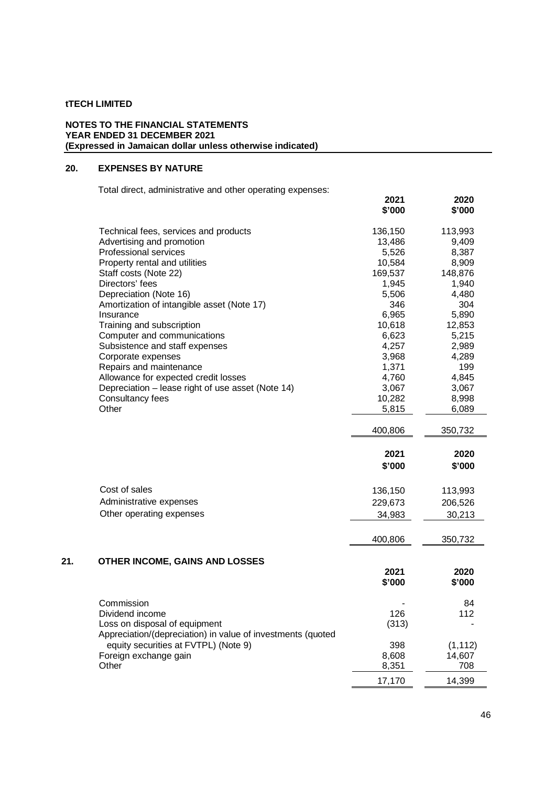## **NOTES TO THE FINANCIAL STATEMENTS YEAR ENDED 31 DECEMBER 2021 (Expressed in Jamaican dollar unless otherwise indicated)**

## **20. EXPENSES BY NATURE**

Total direct, administrative and other operating expenses:

|     |                                                                                              | 2021<br>\$'000 | 2020<br>\$'000     |
|-----|----------------------------------------------------------------------------------------------|----------------|--------------------|
|     | Technical fees, services and products                                                        | 136,150        | 113,993            |
|     | Advertising and promotion                                                                    | 13,486         | 9,409              |
|     | Professional services                                                                        | 5,526          | 8,387              |
|     | Property rental and utilities                                                                | 10,584         | 8,909              |
|     | Staff costs (Note 22)                                                                        | 169,537        | 148,876            |
|     | Directors' fees                                                                              | 1,945          | 1,940              |
|     | Depreciation (Note 16)                                                                       | 5,506          | 4,480              |
|     | Amortization of intangible asset (Note 17)                                                   | 346            | 304                |
|     | Insurance                                                                                    | 6,965          | 5,890              |
|     | Training and subscription                                                                    | 10,618         | 12,853             |
|     | Computer and communications                                                                  | 6,623          | 5,215              |
|     | Subsistence and staff expenses                                                               | 4,257          | 2,989              |
|     | Corporate expenses                                                                           | 3,968          | 4,289              |
|     | Repairs and maintenance                                                                      | 1,371          | 199                |
|     | Allowance for expected credit losses                                                         | 4,760          | 4,845              |
|     | Depreciation - lease right of use asset (Note 14)                                            | 3,067          | 3,067              |
|     | Consultancy fees                                                                             | 10,282         | 8,998              |
|     | Other                                                                                        | 5,815          | 6,089              |
|     |                                                                                              | 400,806        | 350,732            |
|     |                                                                                              | 2021           | 2020               |
|     |                                                                                              | \$'000         | \$'000             |
|     |                                                                                              |                |                    |
|     | Cost of sales                                                                                | 136,150        | 113,993            |
|     | Administrative expenses                                                                      | 229,673        | 206,526            |
|     | Other operating expenses                                                                     | 34,983         | 30,213             |
|     |                                                                                              |                |                    |
|     |                                                                                              | 400,806        | 350,732            |
|     |                                                                                              |                |                    |
| 21. | OTHER INCOME, GAINS AND LOSSES                                                               |                |                    |
|     |                                                                                              | 2021<br>\$'000 | 2020<br>\$'000     |
|     |                                                                                              |                |                    |
|     | Commission                                                                                   |                | 84                 |
|     | Dividend income                                                                              | 126            | 112                |
|     | Loss on disposal of equipment<br>Appreciation/(depreciation) in value of investments (quoted | (313)          |                    |
|     | equity securities at FVTPL) (Note 9)                                                         | 398            |                    |
|     | Foreign exchange gain                                                                        | 8,608          | (1, 112)<br>14,607 |
|     | Other                                                                                        | 8,351          | 708                |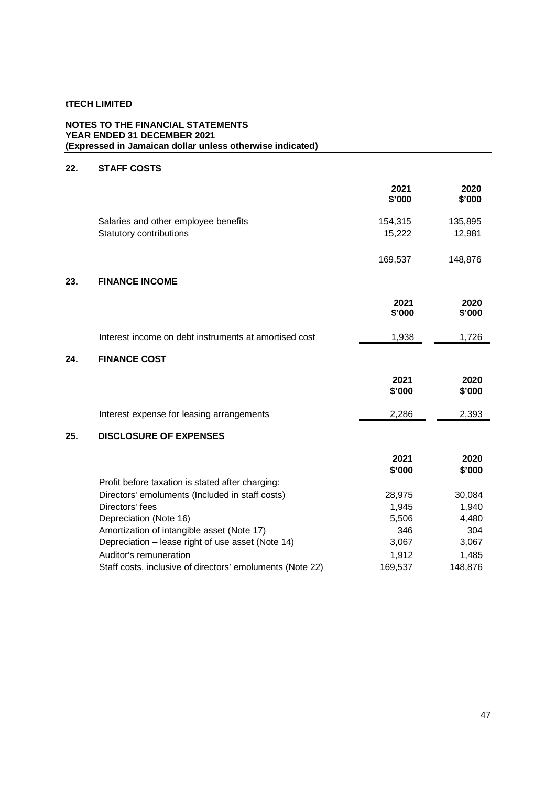## **NOTES TO THE FINANCIAL STATEMENTS YEAR ENDED 31 DECEMBER 2021 (Expressed in Jamaican dollar unless otherwise indicated)**

## **22. STAFF COSTS**

|     |                                                           | 2021<br>\$'000 | 2020<br>\$'000 |
|-----|-----------------------------------------------------------|----------------|----------------|
|     | Salaries and other employee benefits                      | 154,315        | 135,895        |
|     | Statutory contributions                                   | 15,222         | 12,981         |
|     |                                                           | 169,537        | 148,876        |
| 23. | <b>FINANCE INCOME</b>                                     |                |                |
|     |                                                           | 2021<br>\$'000 | 2020<br>\$'000 |
|     | Interest income on debt instruments at amortised cost     | 1,938          | 1,726          |
| 24. | <b>FINANCE COST</b>                                       |                |                |
|     |                                                           | 2021<br>\$'000 | 2020<br>\$'000 |
|     | Interest expense for leasing arrangements                 | 2,286          | 2,393          |
| 25. | <b>DISCLOSURE OF EXPENSES</b>                             |                |                |
|     |                                                           | 2021<br>\$'000 | 2020<br>\$'000 |
|     | Profit before taxation is stated after charging:          |                |                |
|     | Directors' emoluments (Included in staff costs)           | 28,975         | 30,084         |
|     | Directors' fees                                           | 1,945          | 1,940          |
|     | Depreciation (Note 16)                                    | 5,506          | 4,480          |
|     | Amortization of intangible asset (Note 17)                | 346            | 304            |
|     | Depreciation - lease right of use asset (Note 14)         | 3,067          | 3,067          |
|     | Auditor's remuneration                                    | 1,912          | 1,485          |
|     | Staff costs, inclusive of directors' emoluments (Note 22) | 169,537        | 148,876        |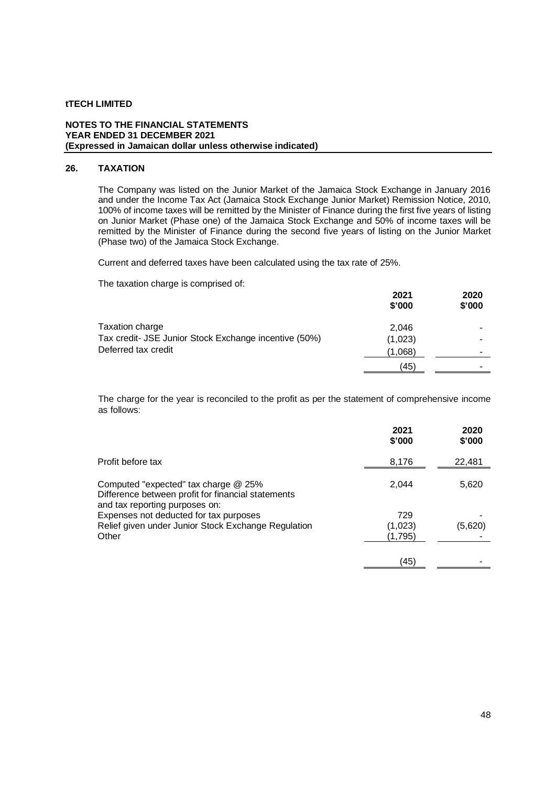#### **NOTES TO THE FINANCIAL STATEMENTS YEAR ENDED 31 DECEMBER 2021 (Expressed in Jamaican dollar unless otherwise indicated)**

### **26. TAXATION**

The Company was listed on the Junior Market of the Jamaica Stock Exchange in January 2016 and under the Income Tax Act (Jamaica Stock Exchange Junior Market) Remission Notice, 2010, 100% of income taxes will be remitted by the Minister of Finance during the first five years of listing on Junior Market (Phase one) of the Jamaica Stock Exchange and 50% of income taxes will be remitted by the Minister of Finance during the second five years of listing on the Junior Market (Phase two) of the Jamaica Stock Exchange.

Current and deferred taxes have been calculated using the tax rate of 25%.

The taxation charge is comprised of:

|                                                       | 2021<br>\$'000 | 2020<br>\$'000 |
|-------------------------------------------------------|----------------|----------------|
| Taxation charge                                       | 2,046          |                |
| Tax credit- JSE Junior Stock Exchange incentive (50%) | (1,023)        |                |
| Deferred tax credit                                   | (1,068)        |                |
|                                                       | (45)           |                |

The charge for the year is reconciled to the profit as per the statement of comprehensive income as follows:

|                                                                                                                                | 2021<br>\$'000            | 2020<br>\$'000 |
|--------------------------------------------------------------------------------------------------------------------------------|---------------------------|----------------|
| Profit before tax                                                                                                              | 8,176                     | 22,481         |
| Computed "expected" tax charge $@$ 25%<br>Difference between profit for financial statements<br>and tax reporting purposes on: | 2,044                     | 5,620          |
| Expenses not deducted for tax purposes<br>Relief given under Junior Stock Exchange Regulation<br>Other                         | 729<br>(1,023)<br>(1,795) | (5,620)        |
|                                                                                                                                | 45                        |                |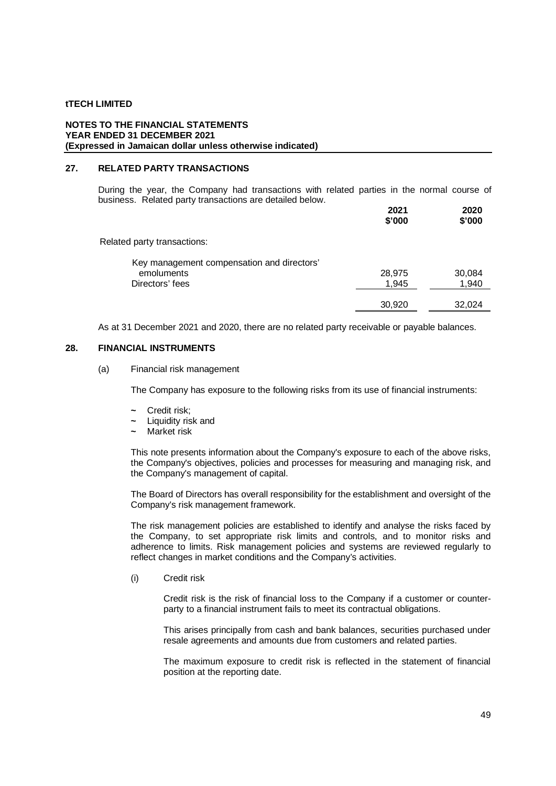#### **NOTES TO THE FINANCIAL STATEMENTS YEAR ENDED 31 DECEMBER 2021 (Expressed in Jamaican dollar unless otherwise indicated)**

## **27. RELATED PARTY TRANSACTIONS**

During the year, the Company had transactions with related parties in the normal course of business. Related party transactions are detailed below.

|                                                          | 2021<br>\$'000 | 2020<br>\$'000 |
|----------------------------------------------------------|----------------|----------------|
| Related party transactions:                              |                |                |
| Key management compensation and directors'<br>emoluments | 28,975         | 30,084         |
| Directors' fees                                          | 1,945          | 1,940          |
|                                                          | 30,920         | 32.024         |

As at 31 December 2021 and 2020, there are no related party receivable or payable balances.

## **28. FINANCIAL INSTRUMENTS**

(a) Financial risk management

The Company has exposure to the following risks from its use of financial instruments:

- **~** Credit risk;
- **~** Liquidity risk and
- **~** Market risk

This note presents information about the Company's exposure to each of the above risks, the Company's objectives, policies and processes for measuring and managing risk, and the Company's management of capital.

The Board of Directors has overall responsibility for the establishment and oversight of the Company's risk management framework.

The risk management policies are established to identify and analyse the risks faced by the Company, to set appropriate risk limits and controls, and to monitor risks and adherence to limits. Risk management policies and systems are reviewed regularly to reflect changes in market conditions and the Company's activities.

(i) Credit risk

Credit risk is the risk of financial loss to the Company if a customer or counterparty to a financial instrument fails to meet its contractual obligations.

This arises principally from cash and bank balances, securities purchased under resale agreements and amounts due from customers and related parties.

The maximum exposure to credit risk is reflected in the statement of financial position at the reporting date.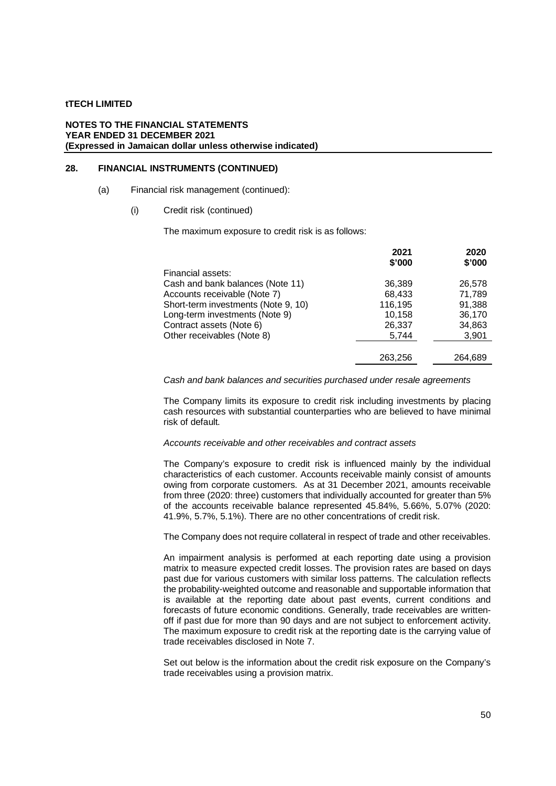### **NOTES TO THE FINANCIAL STATEMENTS YEAR ENDED 31 DECEMBER 2021 (Expressed in Jamaican dollar unless otherwise indicated)**

## **28. FINANCIAL INSTRUMENTS (CONTINUED)**

- (a) Financial risk management (continued):
	- (i) Credit risk (continued)

The maximum exposure to credit risk is as follows:

|                                     | 2021<br>\$'000 | 2020<br>\$'000 |
|-------------------------------------|----------------|----------------|
| Financial assets:                   |                |                |
| Cash and bank balances (Note 11)    | 36,389         | 26,578         |
| Accounts receivable (Note 7)        | 68,433         | 71,789         |
| Short-term investments (Note 9, 10) | 116,195        | 91,388         |
| Long-term investments (Note 9)      | 10,158         | 36,170         |
| Contract assets (Note 6)            | 26,337         | 34,863         |
| Other receivables (Note 8)          | 5,744          | 3,901          |
|                                     |                |                |
|                                     | 263,256        | 264.689        |

#### *Cash and bank balances and securities purchased under resale agreements*

The Company limits its exposure to credit risk including investments by placing cash resources with substantial counterparties who are believed to have minimal risk of default.

#### *Accounts receivable and other receivables and contract assets*

The Company's exposure to credit risk is influenced mainly by the individual characteristics of each customer. Accounts receivable mainly consist of amounts owing from corporate customers. As at 31 December 2021, amounts receivable from three (2020: three) customers that individually accounted for greater than 5% of the accounts receivable balance represented 45.84%, 5.66%, 5.07% (2020: 41.9%, 5.7%, 5.1%). There are no other concentrations of credit risk.

The Company does not require collateral in respect of trade and other receivables.

An impairment analysis is performed at each reporting date using a provision matrix to measure expected credit losses. The provision rates are based on days past due for various customers with similar loss patterns. The calculation reflects the probability-weighted outcome and reasonable and supportable information that is available at the reporting date about past events, current conditions and forecasts of future economic conditions. Generally, trade receivables are writtenoff if past due for more than 90 days and are not subject to enforcement activity. The maximum exposure to credit risk at the reporting date is the carrying value of trade receivables disclosed in Note 7.

Set out below is the information about the credit risk exposure on the Company's trade receivables using a provision matrix.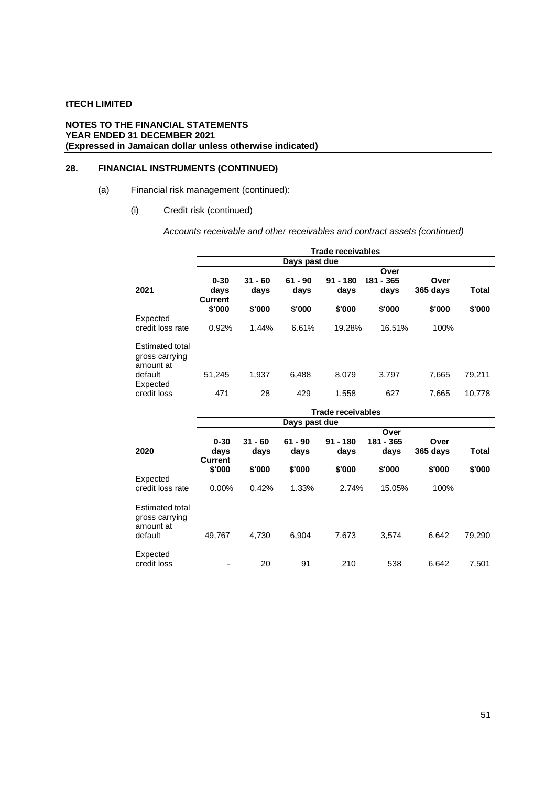## **NOTES TO THE FINANCIAL STATEMENTS YEAR ENDED 31 DECEMBER 2021 (Expressed in Jamaican dollar unless otherwise indicated)**

## **28. FINANCIAL INSTRUMENTS (CONTINUED)**

(a) Financial risk management (continued):

## (i) Credit risk (continued)

*Accounts receivable and other receivables and contract assets (continued)*

|                                                       |                          | <b>Trade receivables</b> |               |                          |           |          |        |
|-------------------------------------------------------|--------------------------|--------------------------|---------------|--------------------------|-----------|----------|--------|
|                                                       | Days past due            |                          |               |                          |           |          |        |
|                                                       |                          |                          |               |                          | Over      |          |        |
|                                                       | $0 - 30$                 | $31 - 60$                | $61 - 90$     | $91 - 180$               | 181 - 365 | Over     |        |
| 2021                                                  | days                     | days                     | days          | days                     | days      | 365 days | Total  |
|                                                       | <b>Current</b>           |                          |               |                          |           |          |        |
|                                                       | \$'000                   | \$'000                   | \$'000        | \$'000                   | \$'000    | \$'000   | \$'000 |
| Expected                                              |                          |                          |               |                          |           |          |        |
| credit loss rate                                      | 0.92%                    | 1.44%                    | 6.61%         | 19.28%                   | 16.51%    | 100%     |        |
| <b>Estimated total</b><br>gross carrying<br>amount at |                          |                          |               |                          |           |          |        |
| default                                               | 51,245                   | 1,937                    | 6,488         | 8,079                    | 3,797     | 7,665    | 79,211 |
| Expected                                              |                          |                          |               |                          |           |          |        |
| credit loss                                           | 471                      | 28                       | 429           | 1,558                    | 627       | 7,665    | 10,778 |
|                                                       |                          |                          |               | <b>Trade receivables</b> |           |          |        |
|                                                       |                          |                          | Days past due |                          |           |          |        |
|                                                       |                          |                          |               |                          | Over      |          |        |
|                                                       | $0 - 30$                 | $31 - 60$                | $61 - 90$     | $91 - 180$               | 181 - 365 | Over     |        |
| 2020                                                  | days                     | days                     | days          | days                     | days      | 365 days | Total  |
|                                                       | <b>Current</b><br>\$'000 | \$'000                   | \$'000        | \$'000                   | \$'000    | \$'000   | \$'000 |
| Expected                                              |                          |                          |               |                          |           |          |        |
| credit loss rate                                      | 0.00%                    | 0.42%                    | 1.33%         | 2.74%                    | 15.05%    | 100%     |        |
| <b>Estimated total</b><br>gross carrying<br>amount at |                          |                          |               |                          |           |          |        |
| default                                               | 49,767                   | 4,730                    | 6,904         | 7,673                    | 3,574     | 6,642    | 79,290 |
| Expected<br>credit loss                               |                          | 20                       | 91            | 210                      | 538       | 6,642    | 7,501  |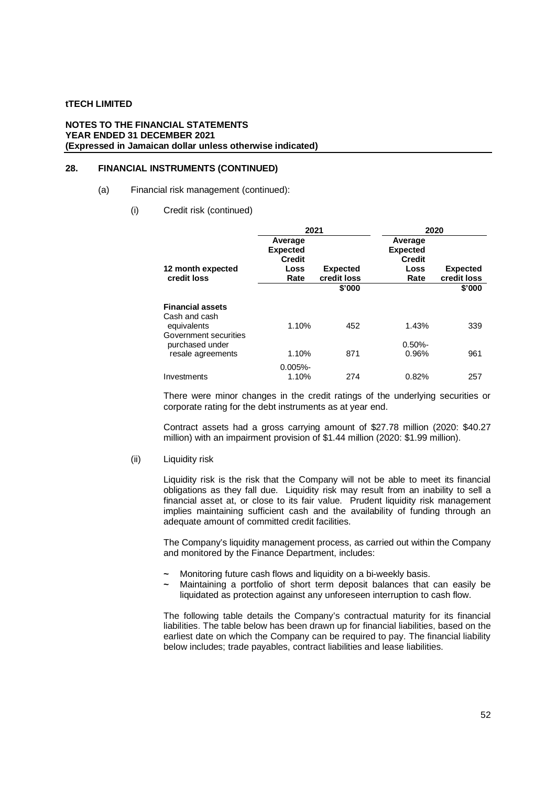#### **NOTES TO THE FINANCIAL STATEMENTS YEAR ENDED 31 DECEMBER 2021 (Expressed in Jamaican dollar unless otherwise indicated)**

## **28. FINANCIAL INSTRUMENTS (CONTINUED)**

- (a) Financial risk management (continued):
	- (i) Credit risk (continued)

|                                          | 2021                                                        |                                          | 2020                                                        |                                          |
|------------------------------------------|-------------------------------------------------------------|------------------------------------------|-------------------------------------------------------------|------------------------------------------|
| 12 month expected<br>credit loss         | Average<br><b>Expected</b><br><b>Credit</b><br>Loss<br>Rate | <b>Expected</b><br>credit loss<br>\$'000 | Average<br><b>Expected</b><br><b>Credit</b><br>Loss<br>Rate | <b>Expected</b><br>credit loss<br>\$'000 |
| <b>Financial assets</b>                  |                                                             |                                          |                                                             |                                          |
| Cash and cash<br>equivalents             | 1.10%                                                       | 452                                      | 1.43%                                                       | 339                                      |
| Government securities<br>purchased under |                                                             |                                          | $0.50\%$ -                                                  |                                          |
| resale agreements                        | 1.10%                                                       | 871                                      | 0.96%                                                       | 961                                      |
|                                          | $0.005% -$                                                  |                                          |                                                             |                                          |
| Investments                              | 1.10%                                                       | 274                                      | 0.82%                                                       | 257                                      |

There were minor changes in the credit ratings of the underlying securities or corporate rating for the debt instruments as at year end.

Contract assets had a gross carrying amount of \$27.78 million (2020: \$40.27 million) with an impairment provision of \$1.44 million (2020: \$1.99 million).

(ii) Liquidity risk

Liquidity risk is the risk that the Company will not be able to meet its financial obligations as they fall due. Liquidity risk may result from an inability to sell a financial asset at, or close to its fair value. Prudent liquidity risk management implies maintaining sufficient cash and the availability of funding through an adequate amount of committed credit facilities.

The Company's liquidity management process, as carried out within the Company and monitored by the Finance Department, includes:

- **~** Monitoring future cash flows and liquidity on a bi-weekly basis.
- **~** Maintaining a portfolio of short term deposit balances that can easily be liquidated as protection against any unforeseen interruption to cash flow.

The following table details the Company's contractual maturity for its financial liabilities. The table below has been drawn up for financial liabilities, based on the earliest date on which the Company can be required to pay. The financial liability below includes; trade payables, contract liabilities and lease liabilities.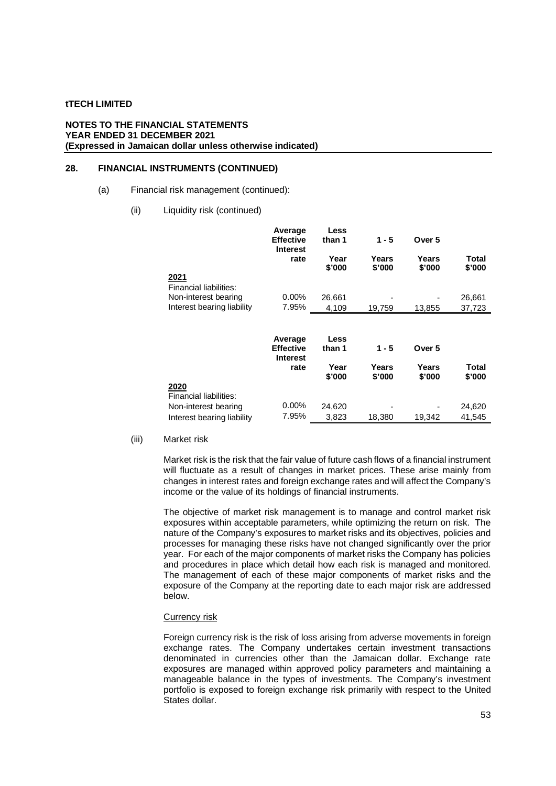#### **NOTES TO THE FINANCIAL STATEMENTS YEAR ENDED 31 DECEMBER 2021 (Expressed in Jamaican dollar unless otherwise indicated)**

## **28. FINANCIAL INSTRUMENTS (CONTINUED)**

- (a) Financial risk management (continued):
	- (ii) Liquidity risk (continued)

|                            | Average<br><b>Effective</b><br><b>Interest</b> | Less<br>than 1 | 1 - 5           | Over 5          |                 |
|----------------------------|------------------------------------------------|----------------|-----------------|-----------------|-----------------|
|                            | rate                                           | Year<br>\$'000 | Years<br>\$'000 | Years<br>\$'000 | Total<br>\$'000 |
| 2021                       |                                                |                |                 |                 |                 |
| Financial liabilities:     |                                                |                |                 |                 |                 |
| Non-interest bearing       | $0.00\%$                                       | 26,661         |                 |                 | 26,661          |
| Interest bearing liability | 7.95%                                          | 4,109          | 19,759          | 13,855          | 37,723          |
|                            | Average                                        | Less           |                 |                 |                 |
|                            | <b>Effective</b><br><b>Interest</b>            | than 1         | $1 - 5$         | Over 5          |                 |
|                            |                                                |                |                 |                 |                 |
|                            | rate                                           | Year<br>\$'000 | Years<br>\$'000 | Years<br>\$'000 | Total<br>\$'000 |
| 2020                       |                                                |                |                 |                 |                 |
| Financial liabilities:     |                                                |                |                 |                 |                 |
| Non-interest bearing       | $0.00\%$                                       | 24,620         |                 |                 | 24,620          |

#### (iii) Market risk

Market risk is the risk that the fair value of future cash flows of a financial instrument will fluctuate as a result of changes in market prices. These arise mainly from changes in interest rates and foreign exchange rates and will affect the Company's income or the value of its holdings of financial instruments.

The objective of market risk management is to manage and control market risk exposures within acceptable parameters, while optimizing the return on risk. The nature of the Company's exposures to market risks and its objectives, policies and processes for managing these risks have not changed significantly over the prior year. For each of the major components of market risks the Company has policies and procedures in place which detail how each risk is managed and monitored. The management of each of these major components of market risks and the exposure of the Company at the reporting date to each major risk are addressed below.

#### Currency risk

Foreign currency risk is the risk of loss arising from adverse movements in foreign exchange rates. The Company undertakes certain investment transactions denominated in currencies other than the Jamaican dollar. Exchange rate exposures are managed within approved policy parameters and maintaining a manageable balance in the types of investments. The Company's investment portfolio is exposed to foreign exchange risk primarily with respect to the United States dollar.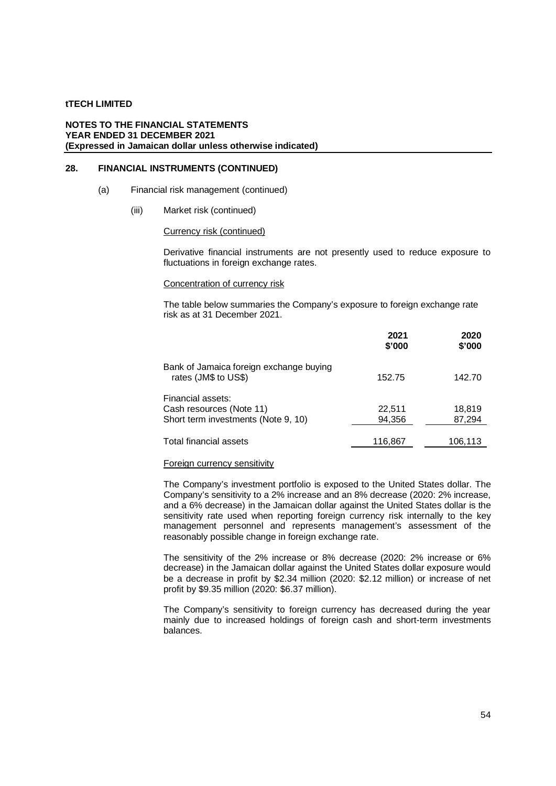#### **NOTES TO THE FINANCIAL STATEMENTS YEAR ENDED 31 DECEMBER 2021 (Expressed in Jamaican dollar unless otherwise indicated)**

## **28. FINANCIAL INSTRUMENTS (CONTINUED)**

- (a) Financial risk management (continued)
	- (iii) Market risk (continued)

#### Currency risk (continued)

Derivative financial instruments are not presently used to reduce exposure to fluctuations in foreign exchange rates.

#### Concentration of currency risk

The table below summaries the Company's exposure to foreign exchange rate risk as at 31 December 2021.

|                                                                                      | 2021<br>\$'000   | 2020<br>\$'000   |
|--------------------------------------------------------------------------------------|------------------|------------------|
| Bank of Jamaica foreign exchange buying<br>rates (JM\$ to US\$)                      | 152.75           | 142.70           |
| Financial assets:<br>Cash resources (Note 11)<br>Short term investments (Note 9, 10) | 22,511<br>94,356 | 18,819<br>87,294 |
| Total financial assets                                                               | 116,867          | 106,113          |

#### Foreign currency sensitivity

The Company's investment portfolio is exposed to the United States dollar. The Company's sensitivity to a 2% increase and an 8% decrease (2020: 2% increase, and a 6% decrease) in the Jamaican dollar against the United States dollar is the sensitivity rate used when reporting foreign currency risk internally to the key management personnel and represents management's assessment of the reasonably possible change in foreign exchange rate.

The sensitivity of the 2% increase or 8% decrease (2020: 2% increase or 6% decrease) in the Jamaican dollar against the United States dollar exposure would be a decrease in profit by \$2.34 million (2020: \$2.12 million) or increase of net profit by \$9.35 million (2020: \$6.37 million).

The Company's sensitivity to foreign currency has decreased during the year mainly due to increased holdings of foreign cash and short-term investments balances.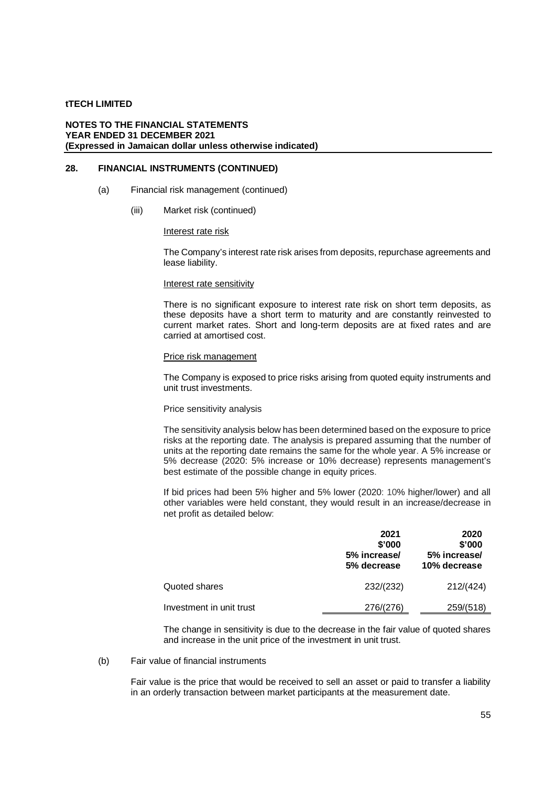#### **NOTES TO THE FINANCIAL STATEMENTS YEAR ENDED 31 DECEMBER 2021 (Expressed in Jamaican dollar unless otherwise indicated)**

## **28. FINANCIAL INSTRUMENTS (CONTINUED)**

- (a) Financial risk management (continued)
	- (iii) Market risk (continued)

#### Interest rate risk

The Company's interest rate risk arises from deposits, repurchase agreements and lease liability.

#### Interest rate sensitivity

There is no significant exposure to interest rate risk on short term deposits, as these deposits have a short term to maturity and are constantly reinvested to current market rates. Short and long-term deposits are at fixed rates and are carried at amortised cost.

#### Price risk management

The Company is exposed to price risks arising from quoted equity instruments and unit trust investments.

#### Price sensitivity analysis

The sensitivity analysis below has been determined based on the exposure to price risks at the reporting date. The analysis is prepared assuming that the number of units at the reporting date remains the same for the whole year. A 5% increase or 5% decrease (2020: 5% increase or 10% decrease) represents management's best estimate of the possible change in equity prices.

If bid prices had been 5% higher and 5% lower (2020: 10% higher/lower) and all other variables were held constant, they would result in an increase/decrease in net profit as detailed below:

|                          | 2021<br>\$'000<br>5% increase/<br>5% decrease | 2020<br>\$'000<br>5% increase/<br>10% decrease |
|--------------------------|-----------------------------------------------|------------------------------------------------|
| Quoted shares            | 232/(232)                                     | 212/(424)                                      |
| Investment in unit trust | 276/(276)                                     | 259/(518)                                      |

The change in sensitivity is due to the decrease in the fair value of quoted shares and increase in the unit price of the investment in unit trust.

#### (b) Fair value of financial instruments

Fair value is the price that would be received to sell an asset or paid to transfer a liability in an orderly transaction between market participants at the measurement date.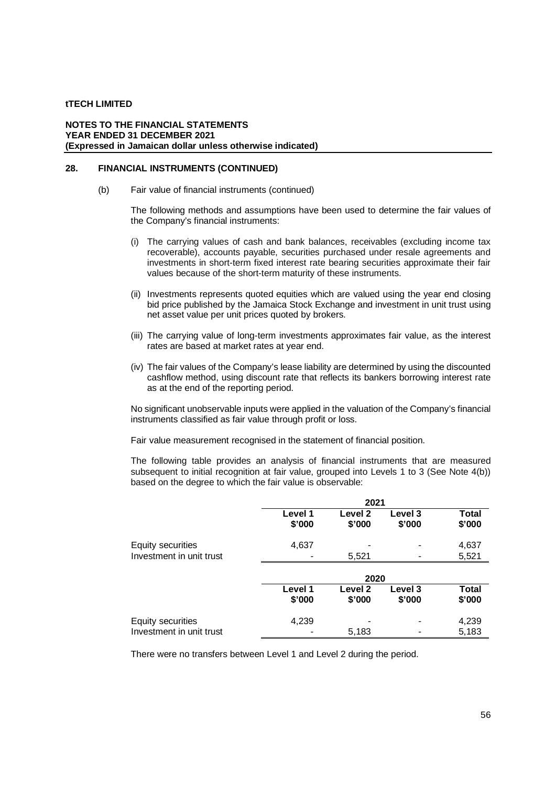**NOTES TO THE FINANCIAL STATEMENTS YEAR ENDED 31 DECEMBER 2021 (Expressed in Jamaican dollar unless otherwise indicated)**

## **28. FINANCIAL INSTRUMENTS (CONTINUED)**

(b) Fair value of financial instruments (continued)

The following methods and assumptions have been used to determine the fair values of the Company's financial instruments:

- (i) The carrying values of cash and bank balances, receivables (excluding income tax recoverable), accounts payable, securities purchased under resale agreements and investments in short-term fixed interest rate bearing securities approximate their fair values because of the short-term maturity of these instruments.
- (ii) Investments represents quoted equities which are valued using the year end closing bid price published by the Jamaica Stock Exchange and investment in unit trust using net asset value per unit prices quoted by brokers.
- (iii) The carrying value of long-term investments approximates fair value, as the interest rates are based at market rates at year end.
- (iv) The fair values of the Company's lease liability are determined by using the discounted cashflow method, using discount rate that reflects its bankers borrowing interest rate as at the end of the reporting period.

No significant unobservable inputs were applied in the valuation of the Company's financial instruments classified as fair value through profit or loss.

Fair value measurement recognised in the statement of financial position.

The following table provides an analysis of financial instruments that are measured subsequent to initial recognition at fair value, grouped into Levels 1 to 3 (See Note 4(b)) based on the degree to which the fair value is observable:

|                                                      |                   | 2021                         |                   |                        |
|------------------------------------------------------|-------------------|------------------------------|-------------------|------------------------|
|                                                      | Level 1<br>\$'000 | Level 2<br>\$'000            | Level 3<br>\$'000 | <b>Total</b><br>\$'000 |
| <b>Equity securities</b><br>Investment in unit trust | 4,637             | 5,521                        |                   | 4,637<br>5,521         |
|                                                      | 2020              |                              |                   |                        |
|                                                      | Level 1<br>\$'000 | Level <sub>2</sub><br>\$'000 | Level 3<br>\$'000 | <b>Total</b><br>\$'000 |
| <b>Equity securities</b>                             | 4,239             |                              |                   | 4,239                  |
| Investment in unit trust                             |                   | 5,183                        |                   | 5,183                  |

There were no transfers between Level 1 and Level 2 during the period.